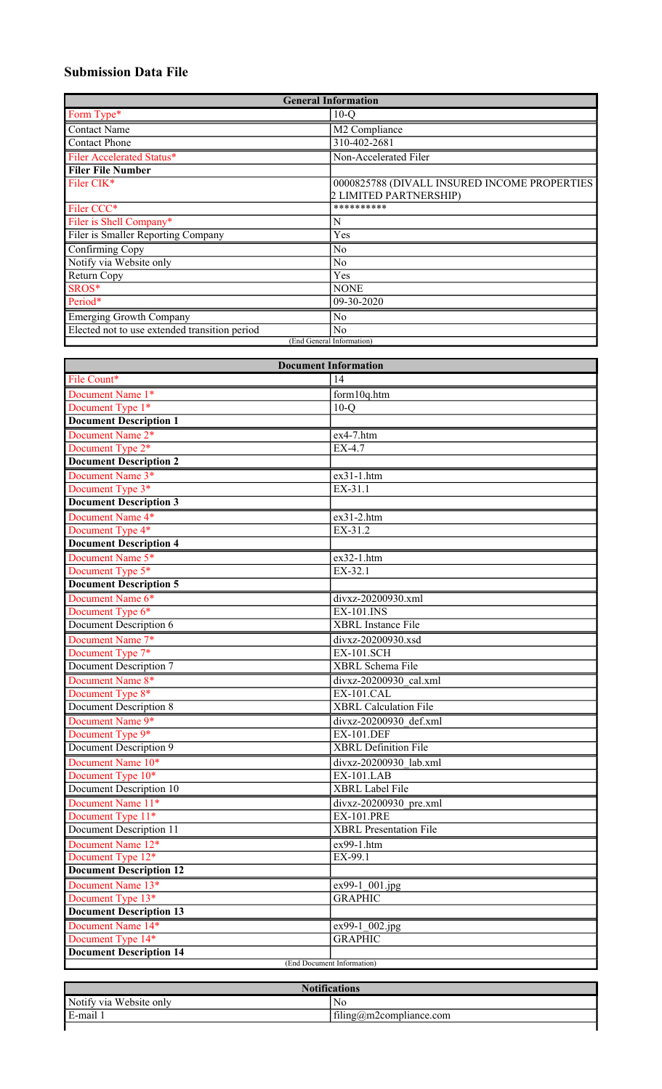## **Submission Data File**

| <b>General Information</b>                    |                                              |  |  |  |  |  |  |
|-----------------------------------------------|----------------------------------------------|--|--|--|--|--|--|
| Form Type*                                    | $10-Q$                                       |  |  |  |  |  |  |
| <b>Contact Name</b>                           | M2 Compliance                                |  |  |  |  |  |  |
| <b>Contact Phone</b>                          | 310-402-2681                                 |  |  |  |  |  |  |
| Filer Accelerated Status*                     | Non-Accelerated Filer                        |  |  |  |  |  |  |
| <b>Filer File Number</b>                      |                                              |  |  |  |  |  |  |
| Filer CIK*                                    | 0000825788 (DIVALL INSURED INCOME PROPERTIES |  |  |  |  |  |  |
|                                               | 2 LIMITED PARTNERSHIP)                       |  |  |  |  |  |  |
| Filer CCC*                                    | **********                                   |  |  |  |  |  |  |
| Filer is Shell Company*                       | N                                            |  |  |  |  |  |  |
| Filer is Smaller Reporting Company            | Yes                                          |  |  |  |  |  |  |
| Confirming Copy                               | N <sub>0</sub>                               |  |  |  |  |  |  |
| Notify via Website only                       | N <sub>o</sub>                               |  |  |  |  |  |  |
| Return Copy                                   | Yes                                          |  |  |  |  |  |  |
| SROS*                                         | <b>NONE</b>                                  |  |  |  |  |  |  |
| Period*                                       | 09-30-2020                                   |  |  |  |  |  |  |
| <b>Emerging Growth Company</b>                | N <sub>o</sub>                               |  |  |  |  |  |  |
| Elected not to use extended transition period | N <sub>o</sub>                               |  |  |  |  |  |  |
|                                               | (End General Information)                    |  |  |  |  |  |  |

| <b>Document Information</b>    |                               |  |  |  |  |  |
|--------------------------------|-------------------------------|--|--|--|--|--|
| File Count*                    | 14                            |  |  |  |  |  |
| Document Name 1*               | form10q.htm                   |  |  |  |  |  |
| Document Type 1*               | $10-Q$                        |  |  |  |  |  |
| <b>Document Description 1</b>  |                               |  |  |  |  |  |
| Document Name 2*               | ex4-7.htm                     |  |  |  |  |  |
| Document Type 2*               | EX-4.7                        |  |  |  |  |  |
| <b>Document Description 2</b>  |                               |  |  |  |  |  |
| Document Name 3*               | ex31-1.htm                    |  |  |  |  |  |
| Document Type 3*               | EX-31.1                       |  |  |  |  |  |
| <b>Document Description 3</b>  |                               |  |  |  |  |  |
| Document Name 4*               | $ex31-2.htm$                  |  |  |  |  |  |
| Document Type 4*               | EX-31.2                       |  |  |  |  |  |
| <b>Document Description 4</b>  |                               |  |  |  |  |  |
| Document Name 5*               | $ex32-1.htm$                  |  |  |  |  |  |
| Document Type 5*               | EX-32.1                       |  |  |  |  |  |
| <b>Document Description 5</b>  |                               |  |  |  |  |  |
| Document Name 6*               | divxz-20200930.xml            |  |  |  |  |  |
| Document Type 6*               | <b>EX-101.INS</b>             |  |  |  |  |  |
| Document Description 6         | <b>XBRL</b> Instance File     |  |  |  |  |  |
| Document Name 7*               | divxz-20200930.xsd            |  |  |  |  |  |
| Document Type 7*               | <b>EX-101.SCH</b>             |  |  |  |  |  |
| <b>Document Description 7</b>  | <b>XBRL</b> Schema File       |  |  |  |  |  |
| Document Name 8*               | divxz-20200930 cal.xml        |  |  |  |  |  |
| Document Type 8*               | $EX-101.CAL$                  |  |  |  |  |  |
| <b>Document Description 8</b>  | <b>XBRL</b> Calculation File  |  |  |  |  |  |
| Document Name 9*               | divxz-20200930 def.xml        |  |  |  |  |  |
| Document Type 9*               | <b>EX-101.DEF</b>             |  |  |  |  |  |
| <b>Document Description 9</b>  | <b>XBRL</b> Definition File   |  |  |  |  |  |
| Document Name 10*              | divxz-20200930 lab.xml        |  |  |  |  |  |
| Document Type 10*              | $EX-101.LAB$                  |  |  |  |  |  |
| <b>Document Description 10</b> | <b>XBRL</b> Label File        |  |  |  |  |  |
| Document Name 11*              | divxz-20200930 pre.xml        |  |  |  |  |  |
| Document Type 11*              | <b>EX-101.PRE</b>             |  |  |  |  |  |
| Document Description 11        | <b>XBRL</b> Presentation File |  |  |  |  |  |
| Document Name 12 <sup>*</sup>  | ex99-1.htm                    |  |  |  |  |  |
| Document Type 12*              | EX-99.1                       |  |  |  |  |  |
| <b>Document Description 12</b> |                               |  |  |  |  |  |
| Document Name 13*              | ex99-1 001.jpg                |  |  |  |  |  |
| Document Type 13*              | <b>GRAPHIC</b>                |  |  |  |  |  |
| <b>Document Description 13</b> |                               |  |  |  |  |  |
| Document Name 14*              | ex99-1_002.jpg                |  |  |  |  |  |
| Document Type 14*              | <b>GRAPHIC</b>                |  |  |  |  |  |
| <b>Document Description 14</b> |                               |  |  |  |  |  |
|                                | (End Document Information)    |  |  |  |  |  |

| <b>Notifications</b>    |                         |  |  |  |  |  |
|-------------------------|-------------------------|--|--|--|--|--|
| Notify via Website only | NO                      |  |  |  |  |  |
| E-mail                  | filing@m2compliance.com |  |  |  |  |  |
|                         |                         |  |  |  |  |  |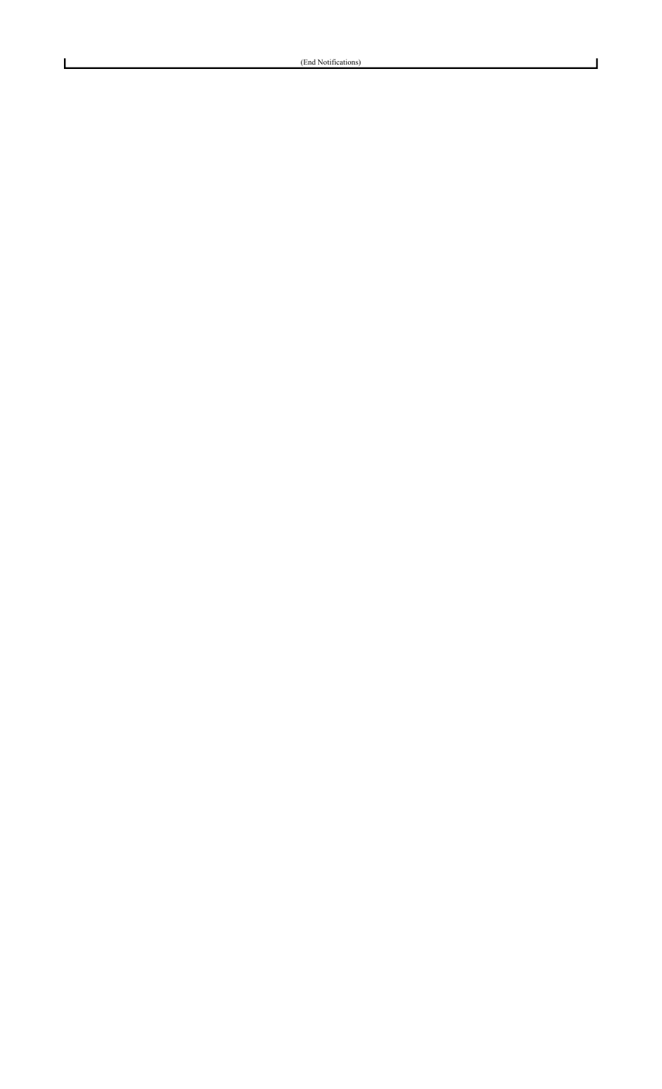(End Notifications)

 $\mathsf{L}%$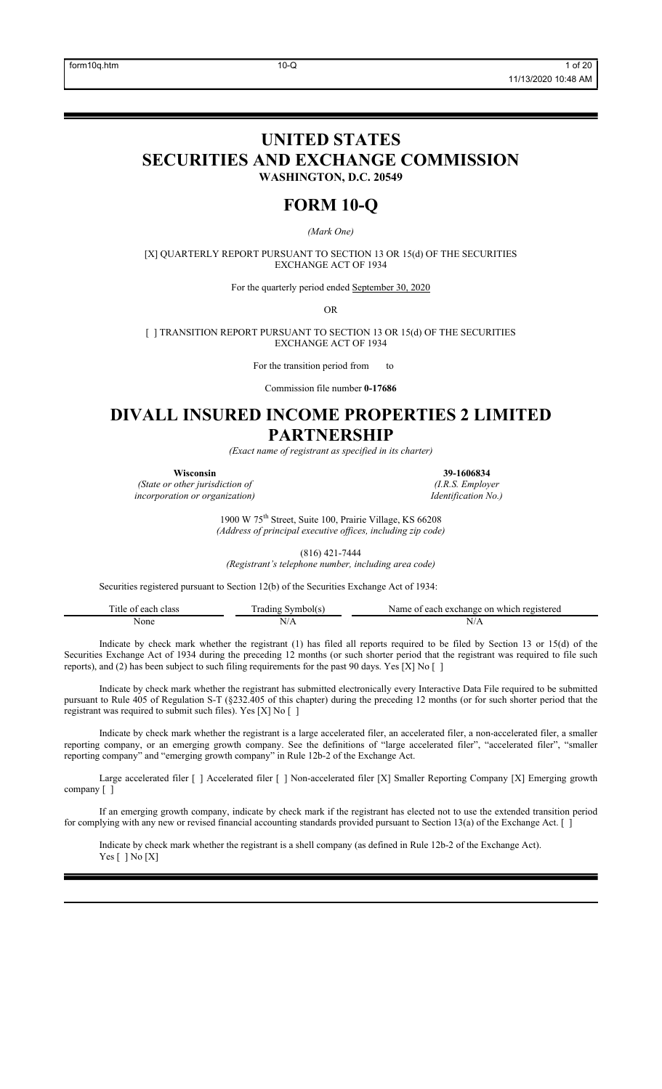## **UNITED STATES**

**SECURITIES AND EXCHANGE COMMISSION**

**WASHINGTON, D.C. 20549**

## **FORM 10-Q**

*(Mark One)*

[X] QUARTERLY REPORT PURSUANT TO SECTION 13 OR 15(d) OF THE SECURITIES EXCHANGE ACT OF 1934

For the quarterly period ended September 30, 2020

OR

[ ] TRANSITION REPORT PURSUANT TO SECTION 13 OR 15(d) OF THE SECURITIES EXCHANGE ACT OF 1934

For the transition period from

Commission file number **0-17686**

## **DIVALL INSURED INCOME PROPERTIES 2 LIMITED PARTNERSHIP**

*(Exact name of registrant as specified in its charter)*

*(State or other jurisdiction of incorporation or organization) Identification No.)*

**Wisconsin** 39-1606834<br>
other jurisdiction of *CIR.S. Employer* 

1900 W 75th Street, Suite 100, Prairie Village, KS 66208 *(Address of principal executive offices, including zip code)*

(816) 421-7444 *(Registrant's telephone number, including area code)*

Securities registered pursuant to Section 12(b) of the Securities Exchange Act of 1934:

| m.<br><sub>1</sub> tle<br>, each<br>class<br>ി | $\mathbf \tau$<br>ີກດ<br>$\sqrt{V}$<br>ווחי<br>.mg<br>rav | which registered<br>$\alpha$ n<br>exchange<br>Name<br>: of each |
|------------------------------------------------|-----------------------------------------------------------|-----------------------------------------------------------------|
| None                                           | N<br>N/                                                   | N/A                                                             |

Indicate by check mark whether the registrant (1) has filed all reports required to be filed by Section 13 or 15(d) of the Securities Exchange Act of 1934 during the preceding 12 months (or such shorter period that the registrant was required to file such reports), and (2) has been subject to such filing requirements for the past 90 days. Yes [X] No [ ]

Indicate by check mark whether the registrant has submitted electronically every Interactive Data File required to be submitted pursuant to Rule 405 of Regulation S-T (§232.405 of this chapter) during the preceding 12 months (or for such shorter period that the registrant was required to submit such files). Yes [X] No [ ]

Indicate by check mark whether the registrant is a large accelerated filer, an accelerated filer, a non-accelerated filer, a smaller reporting company, or an emerging growth company. See the definitions of "large accelerated filer", "accelerated filer", "smaller reporting company" and "emerging growth company" in Rule 12b-2 of the Exchange Act.

Large accelerated filer [ ] Accelerated filer [ ] Non-accelerated filer [X] Smaller Reporting Company [X] Emerging growth company [ ]

If an emerging growth company, indicate by check mark if the registrant has elected not to use the extended transition period for complying with any new or revised financial accounting standards provided pursuant to Section 13(a) of the Exchange Act. [ ]

Indicate by check mark whether the registrant is a shell company (as defined in Rule 12b-2 of the Exchange Act). Yes [ ] No [X]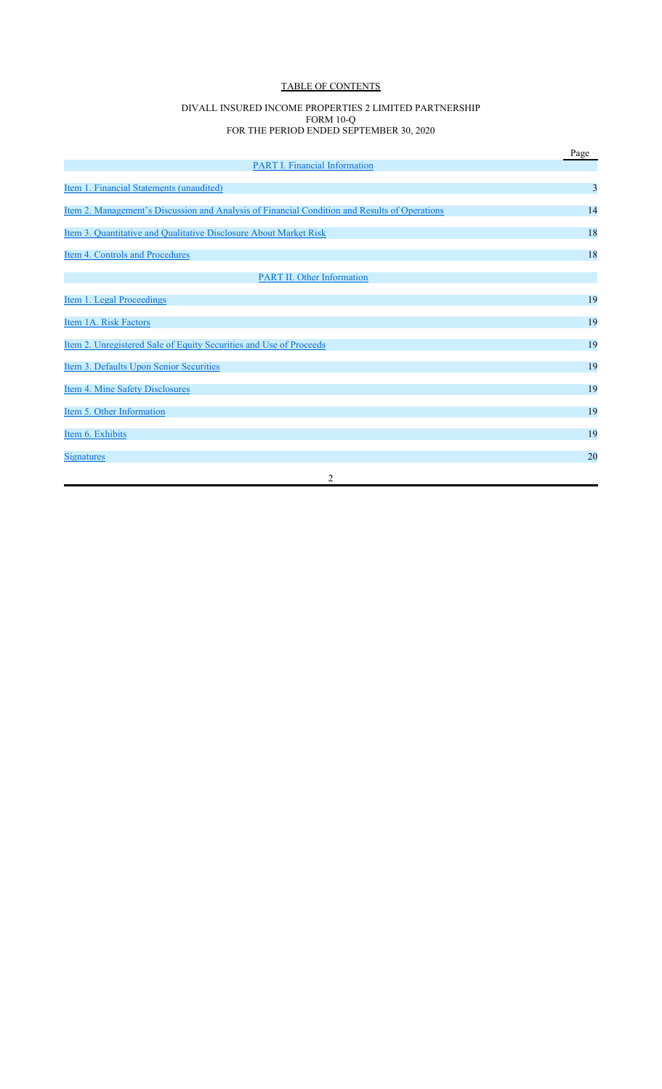## TABLE OF CONTENTS

#### DIVALL INSURED INCOME PROPERTIES 2 LIMITED PARTNERSHIP FORM 10-Q

|                                                                                               | Page |
|-----------------------------------------------------------------------------------------------|------|
| <b>PART I. Financial Information</b>                                                          |      |
| Item 1. Financial Statements (unaudited)                                                      | 3    |
| Item 2. Management's Discussion and Analysis of Financial Condition and Results of Operations | 14   |
| Item 3. Quantitative and Qualitative Disclosure About Market Risk                             | 18   |
| Item 4. Controls and Procedures                                                               | 18   |
| <b>PART II. Other Information</b>                                                             |      |
| Item 1. Legal Proceedings                                                                     | 19   |
| Item 1A. Risk Factors                                                                         | 19   |
| Item 2. Unregistered Sale of Equity Securities and Use of Proceeds                            | 19   |
| Item 3. Defaults Upon Senior Securities                                                       | 19   |
| Item 4. Mine Safety Disclosures                                                               | 19   |
| Item 5. Other Information                                                                     | 19   |
| Item 6. Exhibits                                                                              | 19   |
| Signatures                                                                                    | 20   |
| 2                                                                                             |      |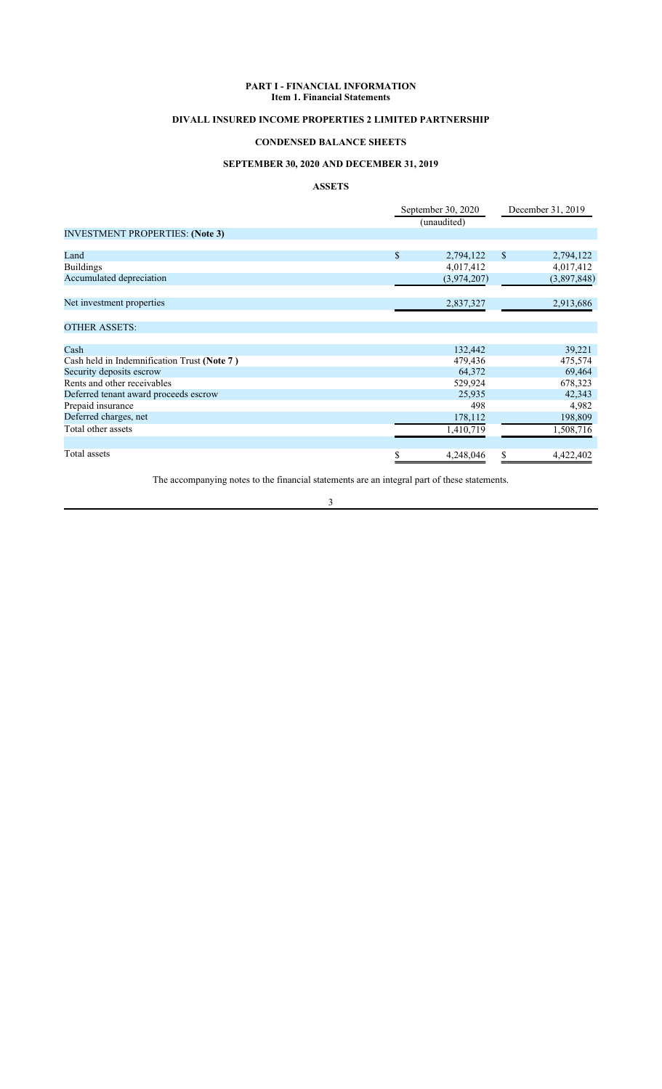#### **PART I - FINANCIAL INFORMATION Item 1. Financial Statements**

## **DIVALL INSURED INCOME PROPERTIES 2 LIMITED PARTNERSHIP**

## **CONDENSED BALANCE SHEETS**

### **SEPTEMBER 30, 2020 AND DECEMBER 31, 2019**

### **ASSETS**

|                                             |    | September 30, 2020<br>(unaudited) | December 31, 2019 |             |  |
|---------------------------------------------|----|-----------------------------------|-------------------|-------------|--|
| <b>INVESTMENT PROPERTIES: (Note 3)</b>      |    |                                   |                   |             |  |
| Land                                        | \$ | 2,794,122                         | \$                | 2,794,122   |  |
| <b>Buildings</b>                            |    | 4,017,412                         |                   | 4,017,412   |  |
| Accumulated depreciation                    |    | (3,974,207)                       |                   | (3,897,848) |  |
| Net investment properties                   |    | 2,837,327                         |                   | 2,913,686   |  |
| <b>OTHER ASSETS:</b>                        |    |                                   |                   |             |  |
| Cash                                        |    | 132,442                           |                   | 39,221      |  |
| Cash held in Indemnification Trust (Note 7) |    | 479,436                           |                   | 475,574     |  |
| Security deposits escrow                    |    | 64,372                            |                   | 69,464      |  |
| Rents and other receivables                 |    | 529,924                           |                   | 678,323     |  |
| Deferred tenant award proceeds escrow       |    | 25,935                            |                   | 42,343      |  |
| Prepaid insurance                           |    | 498                               |                   | 4,982       |  |
| Deferred charges, net                       |    | 178,112                           |                   | 198,809     |  |
| Total other assets                          |    | 1,410,719                         |                   | 1,508,716   |  |
| Total assets                                | S  | 4,248,046                         | \$                | 4,422,402   |  |

The accompanying notes to the financial statements are an integral part of these statements.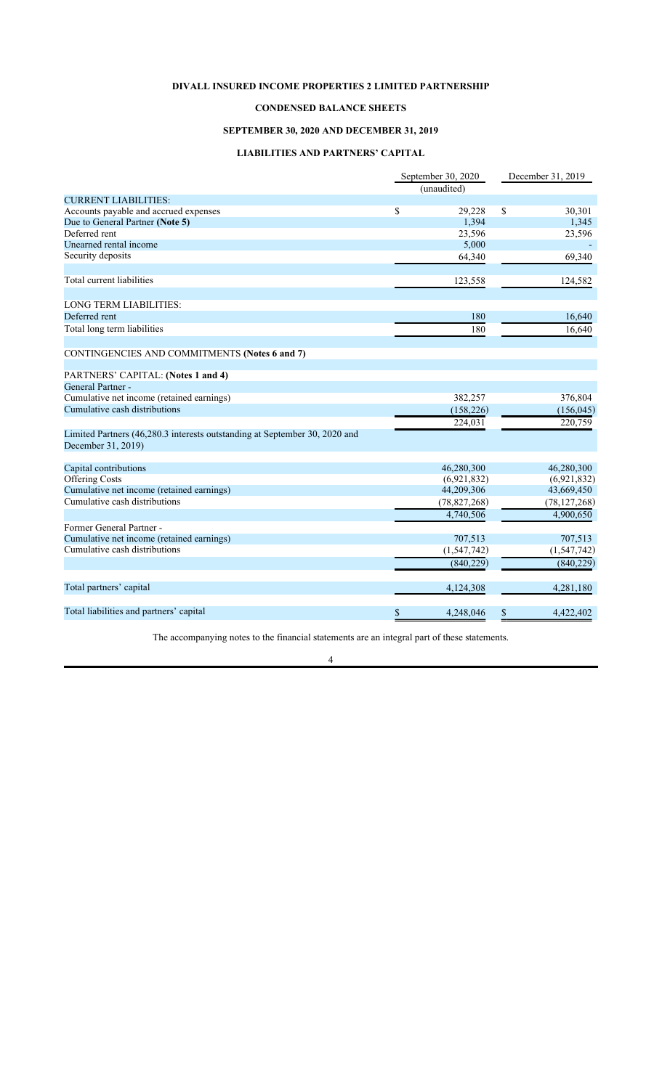#### **CONDENSED BALANCE SHEETS**

## **SEPTEMBER 30, 2020 AND DECEMBER 31, 2019**

## **LIABILITIES AND PARTNERS' CAPITAL**

|                                                                                                  | September 30, 2020<br>(unaudited) | December 31, 2019 |                |  |
|--------------------------------------------------------------------------------------------------|-----------------------------------|-------------------|----------------|--|
| <b>CURRENT LIABILITIES:</b>                                                                      |                                   |                   |                |  |
| Accounts payable and accrued expenses                                                            | \$<br>29,228                      | \$                | 30,301         |  |
| Due to General Partner (Note 5)                                                                  | 1,394                             |                   | 1,345          |  |
| Deferred rent                                                                                    | 23,596                            |                   | 23,596         |  |
| Unearned rental income                                                                           | 5,000                             |                   |                |  |
| Security deposits                                                                                | 64,340                            |                   | 69,340         |  |
| Total current liabilities                                                                        | 123,558                           |                   | 124,582        |  |
| <b>LONG TERM LIABILITIES:</b>                                                                    |                                   |                   |                |  |
| Deferred rent                                                                                    | 180                               |                   | 16,640         |  |
| Total long term liabilities                                                                      | 180                               |                   | 16,640         |  |
| CONTINGENCIES AND COMMITMENTS (Notes 6 and 7)                                                    |                                   |                   |                |  |
| PARTNERS' CAPITAL: (Notes 1 and 4)                                                               |                                   |                   |                |  |
| General Partner -                                                                                |                                   |                   |                |  |
| Cumulative net income (retained earnings)                                                        | 382,257                           |                   | 376,804        |  |
| Cumulative cash distributions                                                                    | (158, 226)                        |                   | (156, 045)     |  |
|                                                                                                  | 224,031                           |                   | 220,759        |  |
| Limited Partners (46,280.3 interests outstanding at September 30, 2020 and<br>December 31, 2019) |                                   |                   |                |  |
| Capital contributions                                                                            | 46,280,300                        |                   | 46,280,300     |  |
| <b>Offering Costs</b>                                                                            | (6,921,832)                       |                   | (6,921,832)    |  |
| Cumulative net income (retained earnings)                                                        | 44,209,306                        |                   | 43,669,450     |  |
| Cumulative cash distributions                                                                    | (78, 827, 268)                    |                   | (78, 127, 268) |  |
|                                                                                                  | 4,740,506                         |                   | 4,900,650      |  |
| Former General Partner -                                                                         |                                   |                   |                |  |
| Cumulative net income (retained earnings)                                                        | 707,513                           |                   | 707,513        |  |
| Cumulative cash distributions                                                                    | (1, 547, 742)                     |                   | (1, 547, 742)  |  |
|                                                                                                  | (840, 229)                        |                   | (840,229)      |  |
| Total partners' capital                                                                          | 4,124,308                         |                   | 4,281,180      |  |
| Total liabilities and partners' capital                                                          | \$<br>4,248,046                   | \$                | 4,422,402      |  |

The accompanying notes to the financial statements are an integral part of these statements.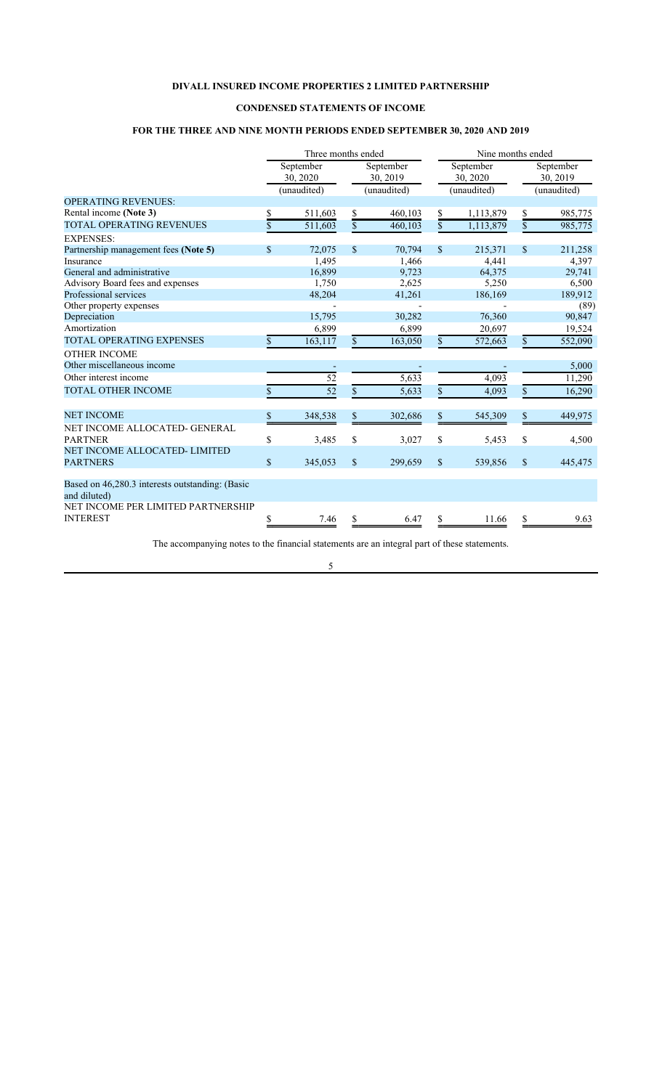## **CONDENSED STATEMENTS OF INCOME**

## **FOR THE THREE AND NINE MONTH PERIODS ENDED SEPTEMBER 30, 2020 AND 2019**

|                                                                 |    | Three months ended       |              |                          |              | Nine months ended     |                       |         |  |  |
|-----------------------------------------------------------------|----|--------------------------|--------------|--------------------------|--------------|-----------------------|-----------------------|---------|--|--|
|                                                                 |    | September<br>30, 2020    |              | September<br>30, 2019    |              | September<br>30, 2020 | September<br>30, 2019 |         |  |  |
|                                                                 |    | (unaudited)              |              | (unaudited)              |              | (unaudited)           | (unaudited)           |         |  |  |
| <b>OPERATING REVENUES:</b>                                      |    |                          |              |                          |              |                       |                       |         |  |  |
| Rental income (Note 3)                                          | \$ | 511,603                  | \$           | 460,103                  | \$           | 1,113,879             | \$                    | 985,775 |  |  |
| <b>TOTAL OPERATING REVENUES</b>                                 | \$ | 511,603                  | $\mathbb{S}$ | 460,103                  | $\mathbb{S}$ | 1,113,879             | \$                    | 985,775 |  |  |
| <b>EXPENSES:</b>                                                |    |                          |              |                          |              |                       |                       |         |  |  |
| Partnership management fees (Note 5)                            | \$ | 72,075                   | \$           | 70,794                   | $\mathbf S$  | 215,371               | \$                    | 211,258 |  |  |
| Insurance                                                       |    | 1.495                    |              | 1,466                    |              | 4,441                 |                       | 4,397   |  |  |
| General and administrative                                      |    | 16,899                   |              | 9,723                    |              | 64,375                |                       | 29,741  |  |  |
| Advisory Board fees and expenses                                |    | 1,750                    |              | 2,625                    |              | 5,250                 |                       | 6,500   |  |  |
| Professional services                                           |    | 48,204                   |              | 41,261                   |              | 186,169               |                       | 189,912 |  |  |
| Other property expenses                                         |    |                          |              |                          |              |                       |                       | (89)    |  |  |
| Depreciation                                                    |    | 15,795                   |              | 30,282                   |              | 76,360                |                       | 90,847  |  |  |
| Amortization                                                    |    | 6,899                    |              | 6,899                    |              | 20,697                |                       | 19,524  |  |  |
| <b>TOTAL OPERATING EXPENSES</b>                                 |    | 163,117                  | \$.          | 163,050                  | S.           | 572,663               | \$                    | 552,090 |  |  |
| <b>OTHER INCOME</b>                                             |    |                          |              |                          |              |                       |                       |         |  |  |
| Other miscellaneous income                                      |    | $\overline{\phantom{a}}$ |              | $\overline{\phantom{0}}$ |              |                       |                       | 5,000   |  |  |
| Other interest income                                           |    | $\overline{52}$          |              | 5,633                    |              | 4,093                 |                       | 11,290  |  |  |
| <b>TOTAL OTHER INCOME</b>                                       | S. | $\overline{52}$          | $\mathbb{S}$ | 5,633                    | $\mathbb{S}$ | 4,093                 | \$                    | 16,290  |  |  |
|                                                                 |    |                          |              |                          |              |                       |                       |         |  |  |
| <b>NET INCOME</b>                                               | \$ | 348,538                  | \$           | 302,686                  | $\mathbb{S}$ | 545,309               | \$                    | 449,975 |  |  |
| NET INCOME ALLOCATED- GENERAL                                   |    |                          |              |                          |              |                       |                       |         |  |  |
| <b>PARTNER</b>                                                  | \$ | 3,485                    | \$           | 3,027                    | \$           | 5,453                 | \$                    | 4,500   |  |  |
| NET INCOME ALLOCATED- LIMITED                                   |    |                          |              |                          |              |                       |                       |         |  |  |
| <b>PARTNERS</b>                                                 | \$ | 345,053                  | $\mathbf S$  | 299,659                  | \$           | 539,856               | \$                    | 445,475 |  |  |
|                                                                 |    |                          |              |                          |              |                       |                       |         |  |  |
| Based on 46,280.3 interests outstanding: (Basic<br>and diluted) |    |                          |              |                          |              |                       |                       |         |  |  |
| NET INCOME PER LIMITED PARTNERSHIP                              |    |                          |              |                          |              |                       |                       |         |  |  |
| <b>INTEREST</b>                                                 | \$ | 7.46                     |              | 6.47                     | \$           | 11.66                 | \$                    | 9.63    |  |  |

The accompanying notes to the financial statements are an integral part of these statements.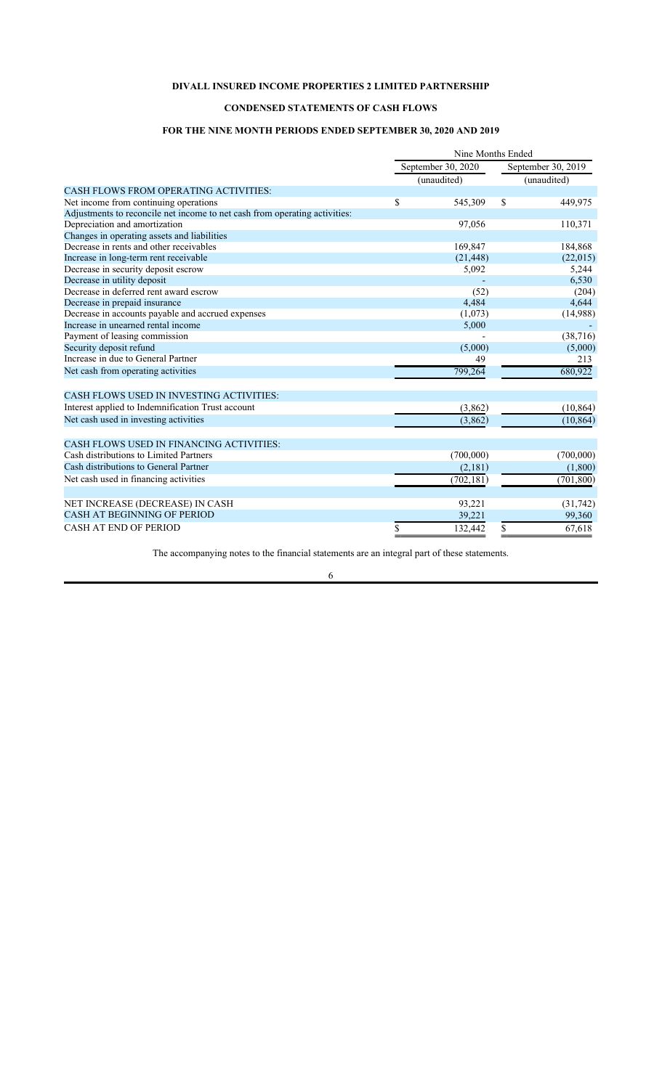## **CONDENSED STATEMENTS OF CASH FLOWS**

## **FOR THE NINE MONTH PERIODS ENDED SEPTEMBER 30, 2020 AND 2019**

|                                                                            | Nine Months Ended |                    |    |                    |  |
|----------------------------------------------------------------------------|-------------------|--------------------|----|--------------------|--|
|                                                                            |                   | September 30, 2020 |    | September 30, 2019 |  |
|                                                                            |                   | (unaudited)        |    | (unaudited)        |  |
| <b>CASH FLOWS FROM OPERATING ACTIVITIES:</b>                               |                   |                    |    |                    |  |
| Net income from continuing operations                                      | \$                | 545,309            | \$ | 449,975            |  |
| Adjustments to reconcile net income to net cash from operating activities: |                   |                    |    |                    |  |
| Depreciation and amortization                                              |                   | 97,056             |    | 110,371            |  |
| Changes in operating assets and liabilities                                |                   |                    |    |                    |  |
| Decrease in rents and other receivables                                    |                   | 169,847            |    | 184,868            |  |
| Increase in long-term rent receivable                                      |                   | (21, 448)          |    | (22,015)           |  |
| Decrease in security deposit escrow                                        |                   | 5,092              |    | 5,244              |  |
| Decrease in utility deposit                                                |                   |                    |    | 6,530              |  |
| Decrease in deferred rent award escrow                                     |                   | (52)               |    | (204)              |  |
| Decrease in prepaid insurance                                              |                   | 4,484              |    | 4,644              |  |
| Decrease in accounts payable and accrued expenses                          |                   | (1,073)            |    | (14,988)           |  |
| Increase in unearned rental income                                         |                   | 5,000              |    |                    |  |
| Payment of leasing commission                                              |                   |                    |    | (38, 716)          |  |
| Security deposit refund                                                    |                   | (5,000)            |    | (5,000)            |  |
| Increase in due to General Partner                                         |                   | 49                 |    | 213                |  |
| Net cash from operating activities                                         |                   | 799,264            |    | 680,922            |  |
| CASH FLOWS USED IN INVESTING ACTIVITIES:                                   |                   |                    |    |                    |  |
| Interest applied to Indemnification Trust account                          |                   | (3,862)            |    | (10, 864)          |  |
| Net cash used in investing activities                                      |                   | (3,862)            |    | (10, 864)          |  |
| CASH FLOWS USED IN FINANCING ACTIVITIES:                                   |                   |                    |    |                    |  |
| Cash distributions to Limited Partners                                     |                   | (700,000)          |    | (700,000)          |  |
| Cash distributions to General Partner                                      |                   | (2,181)            |    | (1,800)            |  |
| Net cash used in financing activities                                      |                   | (702, 181)         |    | (701, 800)         |  |
| NET INCREASE (DECREASE) IN CASH                                            |                   | 93,221             |    | (31, 742)          |  |
| <b>CASH AT BEGINNING OF PERIOD</b>                                         |                   | 39,221             |    | 99,360             |  |
| CASH AT END OF PERIOD                                                      |                   |                    |    |                    |  |
|                                                                            | \$                | 132,442            | \$ | 67,618             |  |

The accompanying notes to the financial statements are an integral part of these statements.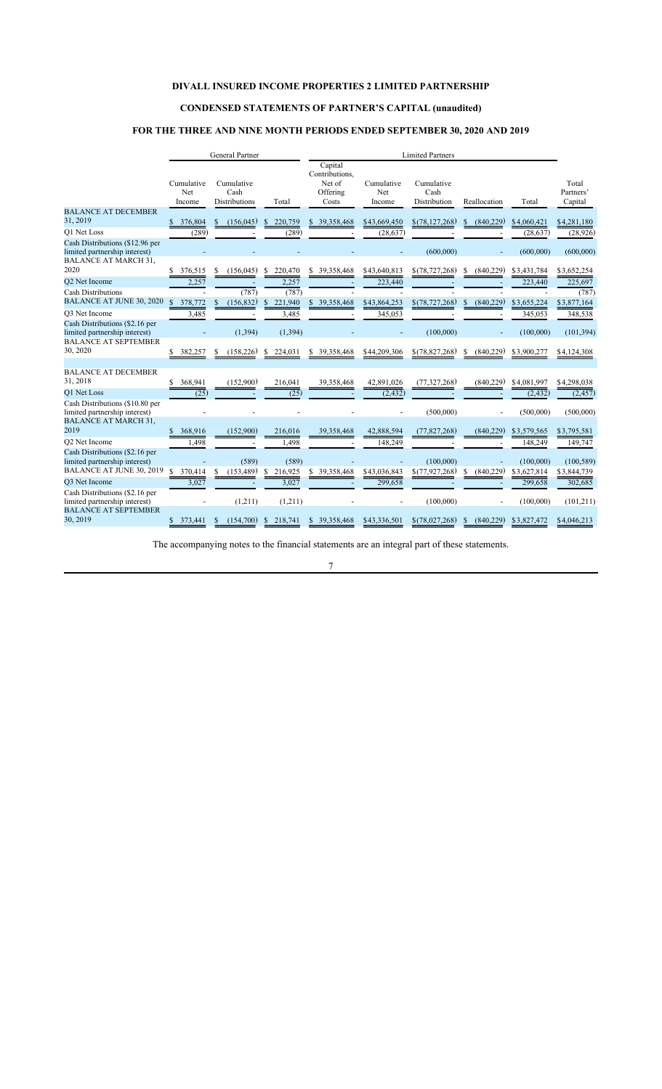## **CONDENSED STATEMENTS OF PARTNER'S CAPITAL (unaudited)**

## **FOR THE THREE AND NINE MONTH PERIODS ENDED SEPTEMBER 30, 2020 AND 2019**

|                                                                                                 |                             |    | <b>General Partner</b>                     |               | <b>Limited Partners</b> |                                                          |                             |                                    |    |              |             |                               |
|-------------------------------------------------------------------------------------------------|-----------------------------|----|--------------------------------------------|---------------|-------------------------|----------------------------------------------------------|-----------------------------|------------------------------------|----|--------------|-------------|-------------------------------|
| <b>BALANCE AT DECEMBER</b>                                                                      | Cumulative<br>Net<br>Income |    | Cumulative<br>Cash<br><b>Distributions</b> | Total         |                         | Capital<br>Contributions,<br>Net of<br>Offering<br>Costs | Cumulative<br>Net<br>Income | Cumulative<br>Cash<br>Distribution |    | Reallocation | Total       | Total<br>Partners'<br>Capital |
| 31, 2019                                                                                        | \$ 376,804                  | \$ | (156, 045)                                 | \$<br>220,759 |                         | \$ 39,358,468                                            | \$43,669,450                | \$(78,127,268)                     | S  | (840, 229)   | \$4,060,421 | \$4,281,180                   |
| <b>Q1 Net Loss</b>                                                                              | (289)                       |    |                                            | (289)         |                         |                                                          | (28, 637)                   |                                    |    |              | (28, 637)   | (28, 926)                     |
| Cash Distributions (\$12.96 per<br>limited partnership interest)<br><b>BALANCE AT MARCH 31.</b> |                             |    |                                            |               |                         |                                                          |                             | (600,000)                          |    |              | (600,000)   | (600,000)                     |
| 2020                                                                                            | \$<br>376,515               | \$ | (156, 045)                                 | \$<br>220,470 |                         | \$39,358,468                                             | \$43,640,813                | \$(78,727,268)                     | \$ | (840, 229)   | \$3,431,784 | \$3,652,254                   |
| Q2 Net Income                                                                                   | 2,257                       |    |                                            | 2,257         |                         |                                                          | 223,440                     |                                    |    |              | 223,440     | 225,697                       |
| <b>Cash Distributions</b>                                                                       |                             |    | (787)                                      | (787)         |                         |                                                          |                             |                                    |    |              |             | (787)                         |
| <b>BALANCE AT JUNE 30, 2020</b>                                                                 | \$<br>378,772               | \$ | (156, 832)                                 | \$<br>221,940 |                         | \$39,358,468                                             | \$43,864,253                | \$(78,727,268)                     | S  | (840, 229)   | \$3,655,224 | \$3,877,164                   |
| <b>Q3</b> Net Income                                                                            | 3,485                       |    |                                            | 3,485         |                         |                                                          | 345,053                     |                                    |    |              | 345,053     | 348,538                       |
| Cash Distributions (\$2.16 per<br>limited partnership interest)                                 |                             |    | (1, 394)                                   | (1, 394)      |                         |                                                          |                             | (100,000)                          |    |              | (100,000)   | (101, 394)                    |
| <b>BALANCE AT SEPTEMBER</b><br>30, 2020                                                         | 382,257<br>\$               | \$ | (158,226)                                  | 224,031       | \$                      | 39,358,468                                               | \$44,209,306                | \$(78,827,268)                     | \$ | (840, 229)   | \$3,900,277 | \$4,124,308                   |
| <b>BALANCE AT DECEMBER</b><br>31, 2018                                                          | \$ 368,941                  |    | (152,900)                                  | 216,041       |                         | 39,358,468                                               | 42,891,026                  | (77, 327, 268)                     |    | (840, 229)   | \$4,081,997 | \$4,298,038                   |
| Q1 Net Loss                                                                                     | (25)                        |    |                                            | (25)          |                         |                                                          | (2, 432)                    |                                    |    |              | (2, 432)    | (2, 457)                      |
| Cash Distributions (\$10.80 per<br>limited partnership interest)                                |                             |    |                                            |               |                         |                                                          |                             | (500,000)                          |    |              | (500,000)   | (500,000)                     |
| <b>BALANCE AT MARCH 31,</b><br>2019                                                             | \$<br>368,916               |    | (152,900)                                  | 216,016       |                         | 39,358,468                                               | 42,888,594                  | (77,827,268)                       |    | (840, 229)   | \$3,579,565 | \$3,795,581                   |
| Q2 Net Income                                                                                   | 1,498                       |    |                                            | 1,498         |                         |                                                          | 148,249                     |                                    |    |              | 148,249     | 149,747                       |
| Cash Distributions (\$2.16 per<br>limited partnership interest)                                 |                             |    | (589)                                      | (589)         |                         |                                                          |                             | (100,000)                          |    |              | (100,000)   | (100, 589)                    |
| BALANCE AT JUNE 30, 2019                                                                        | \$.<br>370,414              | S  | (153, 489)                                 | 216,925       |                         | \$39,358,468                                             | \$43,036,843                | \$(77,927,268)                     |    | (840, 229)   | \$3,627,814 | \$3,844,739                   |
| Q3 Net Income                                                                                   | 3,027                       |    |                                            | 3,027         |                         |                                                          | 299.658                     |                                    |    |              | 299,658     | 302,685                       |
| Cash Distributions (\$2.16 per<br>limited partnership interest)<br><b>BALANCE AT SEPTEMBER</b>  |                             |    | (1,211)                                    | (1,211)       |                         |                                                          |                             | (100,000)                          |    |              | (100,000)   | (101, 211)                    |
| 30, 2019                                                                                        | 373,441<br>\$               |    | (154,700)                                  | \$<br>218,741 | \$                      | 39,358,468                                               | \$43,336,501                | \$(78,027,268)                     |    | (840, 229)   | \$3,827,472 | \$4,046,213                   |

The accompanying notes to the financial statements are an integral part of these statements.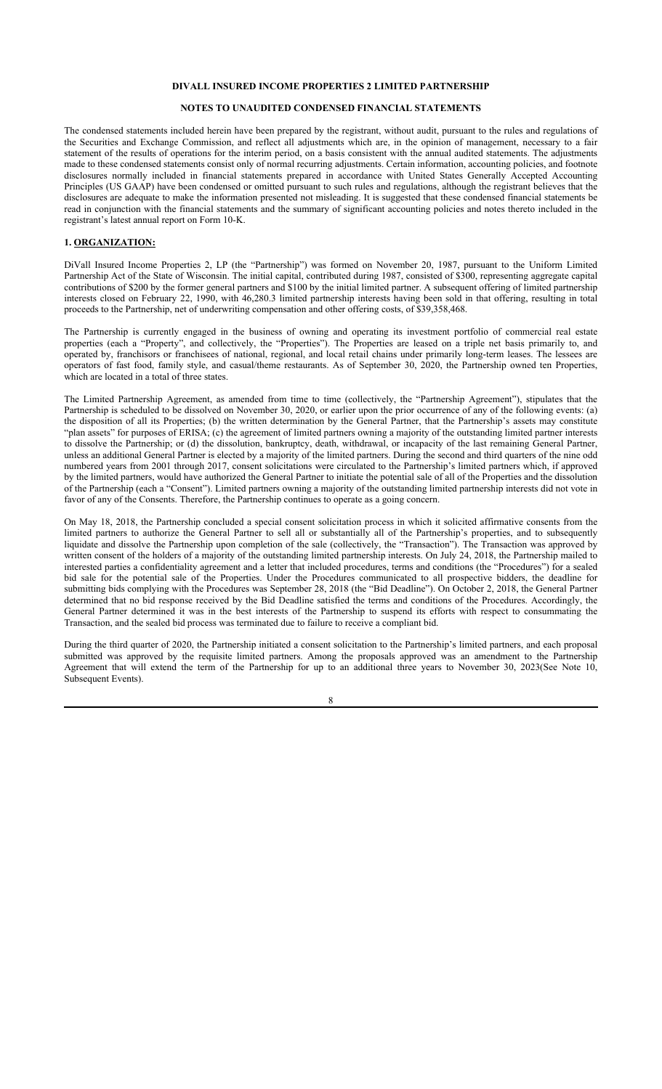#### **NOTES TO UNAUDITED CONDENSED FINANCIAL STATEMENTS**

The condensed statements included herein have been prepared by the registrant, without audit, pursuant to the rules and regulations of the Securities and Exchange Commission, and reflect all adjustments which are, in the opinion of management, necessary to a fair statement of the results of operations for the interim period, on a basis consistent with the annual audited statements. The adjustments made to these condensed statements consist only of normal recurring adjustments. Certain information, accounting policies, and footnote disclosures normally included in financial statements prepared in accordance with United States Generally Accepted Accounting Principles (US GAAP) have been condensed or omitted pursuant to such rules and regulations, although the registrant believes that the disclosures are adequate to make the information presented not misleading. It is suggested that these condensed financial statements be read in conjunction with the financial statements and the summary of significant accounting policies and notes thereto included in the registrant's latest annual report on Form 10-K.

#### **1. ORGANIZATION:**

DiVall Insured Income Properties 2, LP (the "Partnership") was formed on November 20, 1987, pursuant to the Uniform Limited Partnership Act of the State of Wisconsin. The initial capital, contributed during 1987, consisted of \$300, representing aggregate capital contributions of \$200 by the former general partners and \$100 by the initial limited partner. A subsequent offering of limited partnership interests closed on February 22, 1990, with 46,280.3 limited partnership interests having been sold in that offering, resulting in total proceeds to the Partnership, net of underwriting compensation and other offering costs, of \$39,358,468.

The Partnership is currently engaged in the business of owning and operating its investment portfolio of commercial real estate properties (each a "Property", and collectively, the "Properties"). The Properties are leased on a triple net basis primarily to, and operated by, franchisors or franchisees of national, regional, and local retail chains under primarily long-term leases. The lessees are operators of fast food, family style, and casual/theme restaurants. As of September 30, 2020, the Partnership owned ten Properties, which are located in a total of three states.

The Limited Partnership Agreement, as amended from time to time (collectively, the "Partnership Agreement"), stipulates that the Partnership is scheduled to be dissolved on November 30, 2020, or earlier upon the prior occurrence of any of the following events: (a) the disposition of all its Properties; (b) the written determination by the General Partner, that the Partnership's assets may constitute "plan assets" for purposes of ERISA; (c) the agreement of limited partners owning a majority of the outstanding limited partner interests to dissolve the Partnership; or (d) the dissolution, bankruptcy, death, withdrawal, or incapacity of the last remaining General Partner, unless an additional General Partner is elected by a majority of the limited partners. During the second and third quarters of the nine odd numbered years from 2001 through 2017, consent solicitations were circulated to the Partnership's limited partners which, if approved by the limited partners, would have authorized the General Partner to initiate the potential sale of all of the Properties and the dissolution of the Partnership (each a "Consent"). Limited partners owning a majority of the outstanding limited partnership interests did not vote in favor of any of the Consents. Therefore, the Partnership continues to operate as a going concern.

On May 18, 2018, the Partnership concluded a special consent solicitation process in which it solicited affirmative consents from the limited partners to authorize the General Partner to sell all or substantially all of the Partnership's properties, and to subsequently liquidate and dissolve the Partnership upon completion of the sale (collectively, the "Transaction"). The Transaction was approved by written consent of the holders of a majority of the outstanding limited partnership interests. On July 24, 2018, the Partnership mailed to interested parties a confidentiality agreement and a letter that included procedures, terms and conditions (the "Procedures") for a sealed bid sale for the potential sale of the Properties. Under the Procedures communicated to all prospective bidders, the deadline for submitting bids complying with the Procedures was September 28, 2018 (the "Bid Deadline"). On October 2, 2018, the General Partner determined that no bid response received by the Bid Deadline satisfied the terms and conditions of the Procedures. Accordingly, the General Partner determined it was in the best interests of the Partnership to suspend its efforts with respect to consummating the Transaction, and the sealed bid process was terminated due to failure to receive a compliant bid.

During the third quarter of 2020, the Partnership initiated a consent solicitation to the Partnership's limited partners, and each proposal submitted was approved by the requisite limited partners. Among the proposals approved was an amendment to the Partnership Agreement that will extend the term of the Partnership for up to an additional three years to November 30, 2023(See Note 10, Subsequent Events).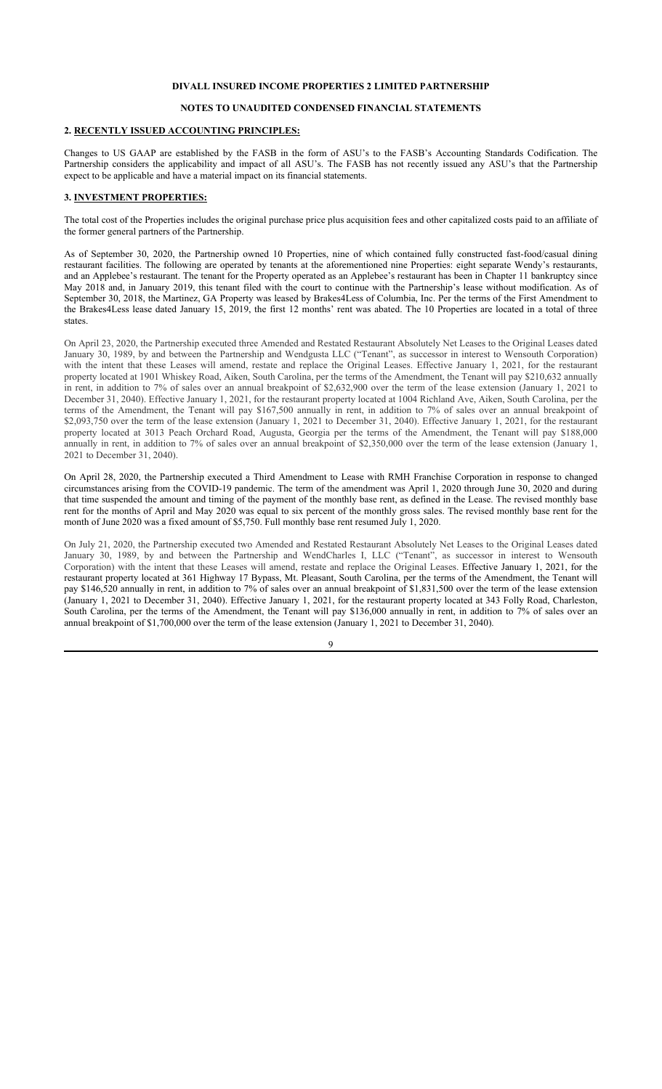#### **NOTES TO UNAUDITED CONDENSED FINANCIAL STATEMENTS**

#### **2. RECENTLY ISSUED ACCOUNTING PRINCIPLES:**

Changes to US GAAP are established by the FASB in the form of ASU's to the FASB's Accounting Standards Codification. The Partnership considers the applicability and impact of all ASU's. The FASB has not recently issued any ASU's that the Partnership expect to be applicable and have a material impact on its financial statements.

#### **3. INVESTMENT PROPERTIES:**

The total cost of the Properties includes the original purchase price plus acquisition fees and other capitalized costs paid to an affiliate of the former general partners of the Partnership.

As of September 30, 2020, the Partnership owned 10 Properties, nine of which contained fully constructed fast-food/casual dining restaurant facilities. The following are operated by tenants at the aforementioned nine Properties: eight separate Wendy's restaurants, and an Applebee's restaurant. The tenant for the Property operated as an Applebee's restaurant has been in Chapter 11 bankruptcy since May 2018 and, in January 2019, this tenant filed with the court to continue with the Partnership's lease without modification. As of September 30, 2018, the Martinez, GA Property was leased by Brakes4Less of Columbia, Inc. Per the terms of the First Amendment to the Brakes4Less lease dated January 15, 2019, the first 12 months' rent was abated. The 10 Properties are located in a total of three states.

On April 23, 2020, the Partnership executed three Amended and Restated Restaurant Absolutely Net Leases to the Original Leases dated January 30, 1989, by and between the Partnership and Wendgusta LLC ("Tenant", as successor in interest to Wensouth Corporation) with the intent that these Leases will amend, restate and replace the Original Leases. Effective January 1, 2021, for the restaurant property located at 1901 Whiskey Road, Aiken, South Carolina, per the terms of the Amendment, the Tenant will pay \$210,632 annually in rent, in addition to 7% of sales over an annual breakpoint of \$2,632,900 over the term of the lease extension (January 1, 2021 to December 31, 2040). Effective January 1, 2021, for the restaurant property located at 1004 Richland Ave, Aiken, South Carolina, per the terms of the Amendment, the Tenant will pay \$167,500 annually in rent, in addition to 7% of sales over an annual breakpoint of \$2,093,750 over the term of the lease extension (January 1, 2021 to December 31, 2040). Effective January 1, 2021, for the restaurant property located at 3013 Peach Orchard Road, Augusta, Georgia per the terms of the Amendment, the Tenant will pay \$188,000 annually in rent, in addition to 7% of sales over an annual breakpoint of \$2,350,000 over the term of the lease extension (January 1, 2021 to December 31, 2040).

On April 28, 2020, the Partnership executed a Third Amendment to Lease with RMH Franchise Corporation in response to changed circumstances arising from the COVID-19 pandemic. The term of the amendment was April 1, 2020 through June 30, 2020 and during that time suspended the amount and timing of the payment of the monthly base rent, as defined in the Lease. The revised monthly base rent for the months of April and May 2020 was equal to six percent of the monthly gross sales. The revised monthly base rent for the month of June 2020 was a fixed amount of \$5,750. Full monthly base rent resumed July 1, 2020.

On July 21, 2020, the Partnership executed two Amended and Restated Restaurant Absolutely Net Leases to the Original Leases dated January 30, 1989, by and between the Partnership and WendCharles I, LLC ("Tenant", as successor in interest to Wensouth Corporation) with the intent that these Leases will amend, restate and replace the Original Leases. Effective January 1, 2021, for the restaurant property located at 361 Highway 17 Bypass, Mt. Pleasant, South Carolina, per the terms of the Amendment, the Tenant will pay \$146,520 annually in rent, in addition to 7% of sales over an annual breakpoint of \$1,831,500 over the term of the lease extension (January 1, 2021 to December 31, 2040). Effective January 1, 2021, for the restaurant property located at 343 Folly Road, Charleston, South Carolina, per the terms of the Amendment, the Tenant will pay \$136,000 annually in rent, in addition to 7% of sales over an annual breakpoint of \$1,700,000 over the term of the lease extension (January 1, 2021 to December 31, 2040).

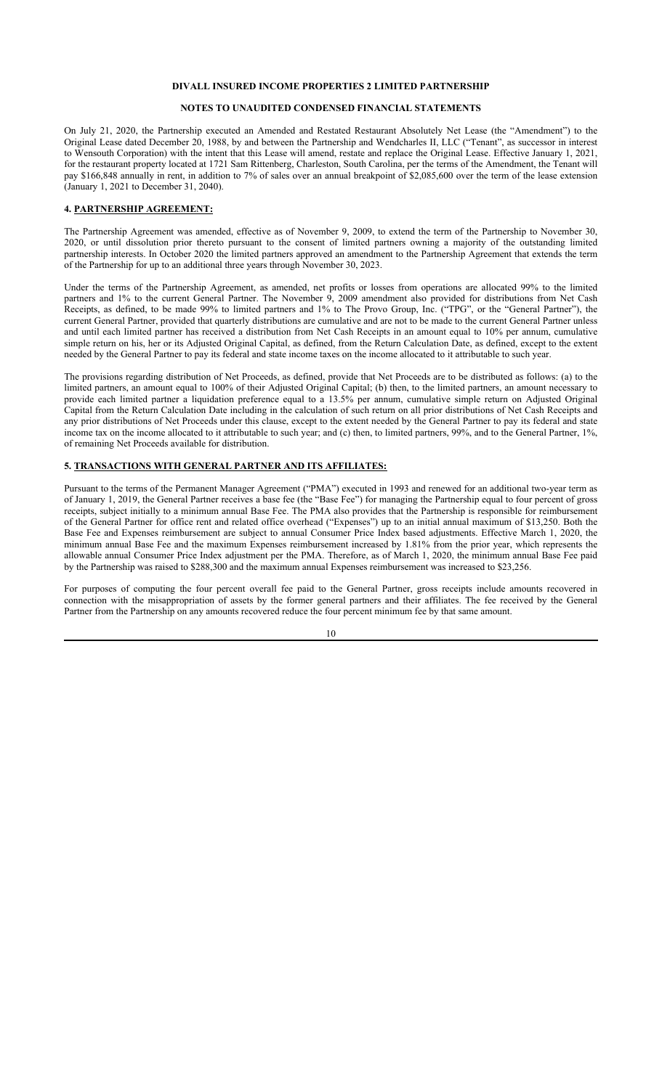#### **NOTES TO UNAUDITED CONDENSED FINANCIAL STATEMENTS**

On July 21, 2020, the Partnership executed an Amended and Restated Restaurant Absolutely Net Lease (the "Amendment") to the Original Lease dated December 20, 1988, by and between the Partnership and Wendcharles II, LLC ("Tenant", as successor in interest to Wensouth Corporation) with the intent that this Lease will amend, restate and replace the Original Lease. Effective January 1, 2021, for the restaurant property located at 1721 Sam Rittenberg, Charleston, South Carolina, per the terms of the Amendment, the Tenant will pay \$166,848 annually in rent, in addition to 7% of sales over an annual breakpoint of \$2,085,600 over the term of the lease extension (January 1, 2021 to December 31, 2040).

#### **4. PARTNERSHIP AGREEMENT:**

The Partnership Agreement was amended, effective as of November 9, 2009, to extend the term of the Partnership to November 30, 2020, or until dissolution prior thereto pursuant to the consent of limited partners owning a majority of the outstanding limited partnership interests. In October 2020 the limited partners approved an amendment to the Partnership Agreement that extends the term of the Partnership for up to an additional three years through November 30, 2023.

Under the terms of the Partnership Agreement, as amended, net profits or losses from operations are allocated 99% to the limited partners and 1% to the current General Partner. The November 9, 2009 amendment also provided for distributions from Net Cash Receipts, as defined, to be made 99% to limited partners and 1% to The Provo Group, Inc. ("TPG", or the "General Partner"), the current General Partner, provided that quarterly distributions are cumulative and are not to be made to the current General Partner unless and until each limited partner has received a distribution from Net Cash Receipts in an amount equal to 10% per annum, cumulative simple return on his, her or its Adjusted Original Capital, as defined, from the Return Calculation Date, as defined, except to the extent needed by the General Partner to pay its federal and state income taxes on the income allocated to it attributable to such year.

The provisions regarding distribution of Net Proceeds, as defined, provide that Net Proceeds are to be distributed as follows: (a) to the limited partners, an amount equal to 100% of their Adjusted Original Capital; (b) then, to the limited partners, an amount necessary to provide each limited partner a liquidation preference equal to a 13.5% per annum, cumulative simple return on Adjusted Original Capital from the Return Calculation Date including in the calculation of such return on all prior distributions of Net Cash Receipts and any prior distributions of Net Proceeds under this clause, except to the extent needed by the General Partner to pay its federal and state income tax on the income allocated to it attributable to such year; and (c) then, to limited partners, 99%, and to the General Partner, 1%, of remaining Net Proceeds available for distribution.

#### **5. TRANSACTIONS WITH GENERAL PARTNER AND ITS AFFILIATES:**

Pursuant to the terms of the Permanent Manager Agreement ("PMA") executed in 1993 and renewed for an additional two-year term as of January 1, 2019, the General Partner receives a base fee (the "Base Fee") for managing the Partnership equal to four percent of gross receipts, subject initially to a minimum annual Base Fee. The PMA also provides that the Partnership is responsible for reimbursement of the General Partner for office rent and related office overhead ("Expenses") up to an initial annual maximum of \$13,250. Both the Base Fee and Expenses reimbursement are subject to annual Consumer Price Index based adjustments. Effective March 1, 2020, the minimum annual Base Fee and the maximum Expenses reimbursement increased by 1.81% from the prior year, which represents the allowable annual Consumer Price Index adjustment per the PMA. Therefore, as of March 1, 2020, the minimum annual Base Fee paid by the Partnership was raised to \$288,300 and the maximum annual Expenses reimbursement was increased to \$23,256.

For purposes of computing the four percent overall fee paid to the General Partner, gross receipts include amounts recovered in connection with the misappropriation of assets by the former general partners and their affiliates. The fee received by the General Partner from the Partnership on any amounts recovered reduce the four percent minimum fee by that same amount.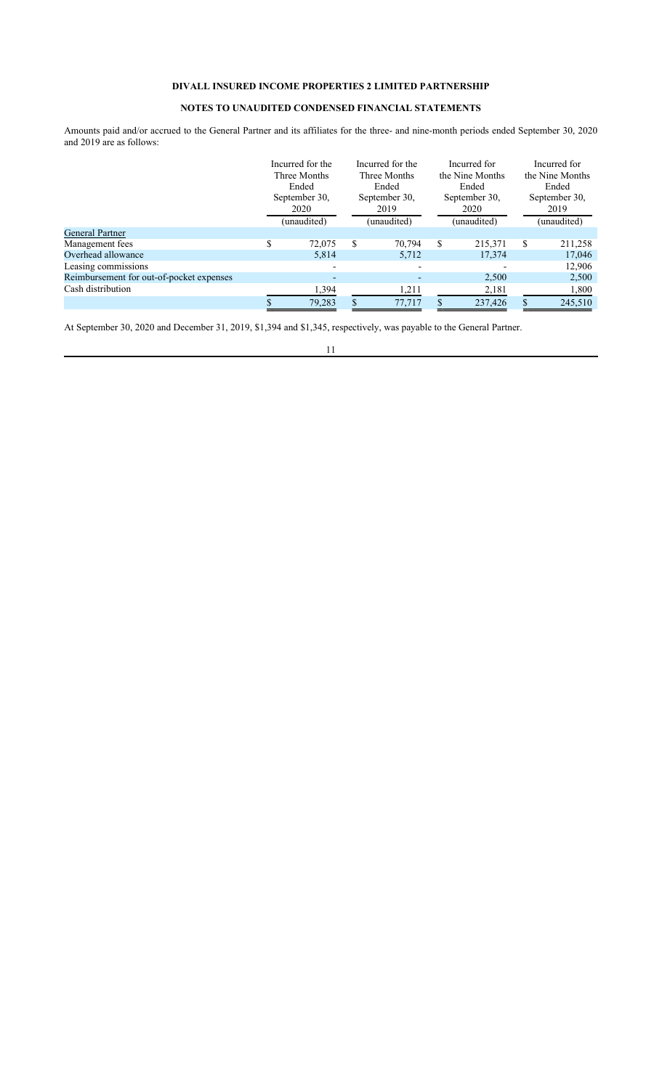#### **NOTES TO UNAUDITED CONDENSED FINANCIAL STATEMENTS**

Amounts paid and/or accrued to the General Partner and its affiliates for the three- and nine-month periods ended September 30, 2020 and 2019 are as follows:

|                                          | Incurred for the<br>Three Months<br>Ended<br>September 30,<br>2020<br>(unaudited) | Incurred for the<br>Three Months<br>Ended<br>September 30,<br>2019<br>(unaudited) |        | Incurred for<br>the Nine Months<br>Ended<br>September 30,<br>2020<br>(unaudited) |         | Incurred for<br>the Nine Months<br>Ended<br>September 30,<br>2019<br>(unaudited) |         |
|------------------------------------------|-----------------------------------------------------------------------------------|-----------------------------------------------------------------------------------|--------|----------------------------------------------------------------------------------|---------|----------------------------------------------------------------------------------|---------|
| <b>General Partner</b>                   |                                                                                   |                                                                                   |        |                                                                                  |         |                                                                                  |         |
| Management fees                          | \$<br>72,075                                                                      | S                                                                                 | 70,794 | \$                                                                               | 215,371 | S                                                                                | 211,258 |
| Overhead allowance                       | 5,814                                                                             |                                                                                   | 5,712  |                                                                                  | 17,374  |                                                                                  | 17,046  |
| Leasing commissions                      | -                                                                                 |                                                                                   |        |                                                                                  |         |                                                                                  | 12,906  |
| Reimbursement for out-of-pocket expenses |                                                                                   |                                                                                   |        |                                                                                  | 2,500   |                                                                                  | 2,500   |
| Cash distribution                        | 1,394                                                                             |                                                                                   | 1,211  |                                                                                  | 2,181   |                                                                                  | 1,800   |
|                                          | 79.283                                                                            | \$.                                                                               | 77,717 | \$.                                                                              | 237,426 |                                                                                  | 245,510 |

At September 30, 2020 and December 31, 2019, \$1,394 and \$1,345, respectively, was payable to the General Partner.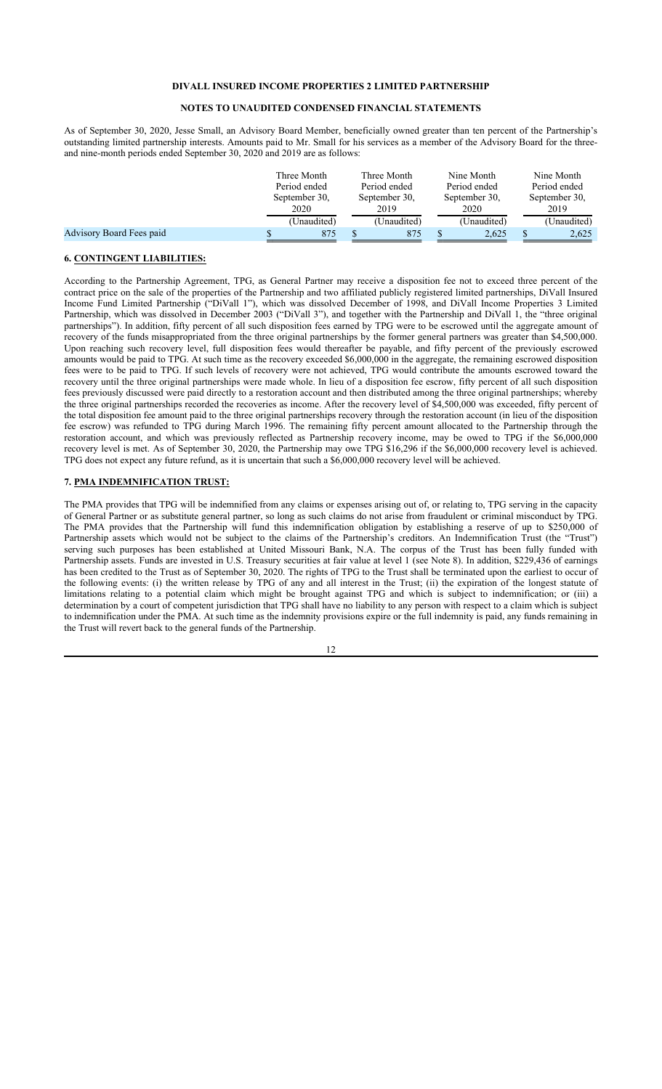#### **NOTES TO UNAUDITED CONDENSED FINANCIAL STATEMENTS**

As of September 30, 2020, Jesse Small, an Advisory Board Member, beneficially owned greater than ten percent of the Partnership's outstanding limited partnership interests. Amounts paid to Mr. Small for his services as a member of the Advisory Board for the threeand nine-month periods ended September 30, 2020 and 2019 are as follows:

|                          | Three Month<br>Period ended<br>September 30,<br>2020 | Three Month<br>Period ended<br>September 30,<br>2019 | Nine Month<br>Period ended<br>September 30,<br>2020 | Nine Month<br>Period ended<br>September 30,<br>2019 |
|--------------------------|------------------------------------------------------|------------------------------------------------------|-----------------------------------------------------|-----------------------------------------------------|
|                          | (Unaudited)                                          | (Unaudited)                                          | (Unaudited)                                         | (Unaudited)                                         |
| Advisory Board Fees paid | 875                                                  |                                                      | 2.625                                               | 2.625                                               |

#### **6. CONTINGENT LIABILITIES:**

According to the Partnership Agreement, TPG, as General Partner may receive a disposition fee not to exceed three percent of the contract price on the sale of the properties of the Partnership and two affiliated publicly registered limited partnerships, DiVall Insured Income Fund Limited Partnership ("DiVall 1"), which was dissolved December of 1998, and DiVall Income Properties 3 Limited Partnership, which was dissolved in December 2003 ("DiVall 3"), and together with the Partnership and DiVall 1, the "three original partnerships"). In addition, fifty percent of all such disposition fees earned by TPG were to be escrowed until the aggregate amount of recovery of the funds misappropriated from the three original partnerships by the former general partners was greater than \$4,500,000. Upon reaching such recovery level, full disposition fees would thereafter be payable, and fifty percent of the previously escrowed amounts would be paid to TPG. At such time as the recovery exceeded \$6,000,000 in the aggregate, the remaining escrowed disposition fees were to be paid to TPG. If such levels of recovery were not achieved, TPG would contribute the amounts escrowed toward the recovery until the three original partnerships were made whole. In lieu of a disposition fee escrow, fifty percent of all such disposition fees previously discussed were paid directly to a restoration account and then distributed among the three original partnerships; whereby the three original partnerships recorded the recoveries as income. After the recovery level of \$4,500,000 was exceeded, fifty percent of the total disposition fee amount paid to the three original partnerships recovery through the restoration account (in lieu of the disposition fee escrow) was refunded to TPG during March 1996. The remaining fifty percent amount allocated to the Partnership through the restoration account, and which was previously reflected as Partnership recovery income, may be owed to TPG if the \$6,000,000 recovery level is met. As of September 30, 2020, the Partnership may owe TPG \$16,296 if the \$6,000,000 recovery level is achieved. TPG does not expect any future refund, as it is uncertain that such a \$6,000,000 recovery level will be achieved.

#### **7. PMA INDEMNIFICATION TRUST:**

The PMA provides that TPG will be indemnified from any claims or expenses arising out of, or relating to, TPG serving in the capacity of General Partner or as substitute general partner, so long as such claims do not arise from fraudulent or criminal misconduct by TPG. The PMA provides that the Partnership will fund this indemnification obligation by establishing a reserve of up to \$250,000 of Partnership assets which would not be subject to the claims of the Partnership's creditors. An Indemnification Trust (the "Trust") serving such purposes has been established at United Missouri Bank, N.A. The corpus of the Trust has been fully funded with Partnership assets. Funds are invested in U.S. Treasury securities at fair value at level 1 (see Note 8). In addition, \$229,436 of earnings has been credited to the Trust as of September 30, 2020. The rights of TPG to the Trust shall be terminated upon the earliest to occur of the following events: (i) the written release by TPG of any and all interest in the Trust; (ii) the expiration of the longest statute of limitations relating to a potential claim which might be brought against TPG and which is subject to indemnification; or (iii) a determination by a court of competent jurisdiction that TPG shall have no liability to any person with respect to a claim which is subject to indemnification under the PMA. At such time as the indemnity provisions expire or the full indemnity is paid, any funds remaining in the Trust will revert back to the general funds of the Partnership.

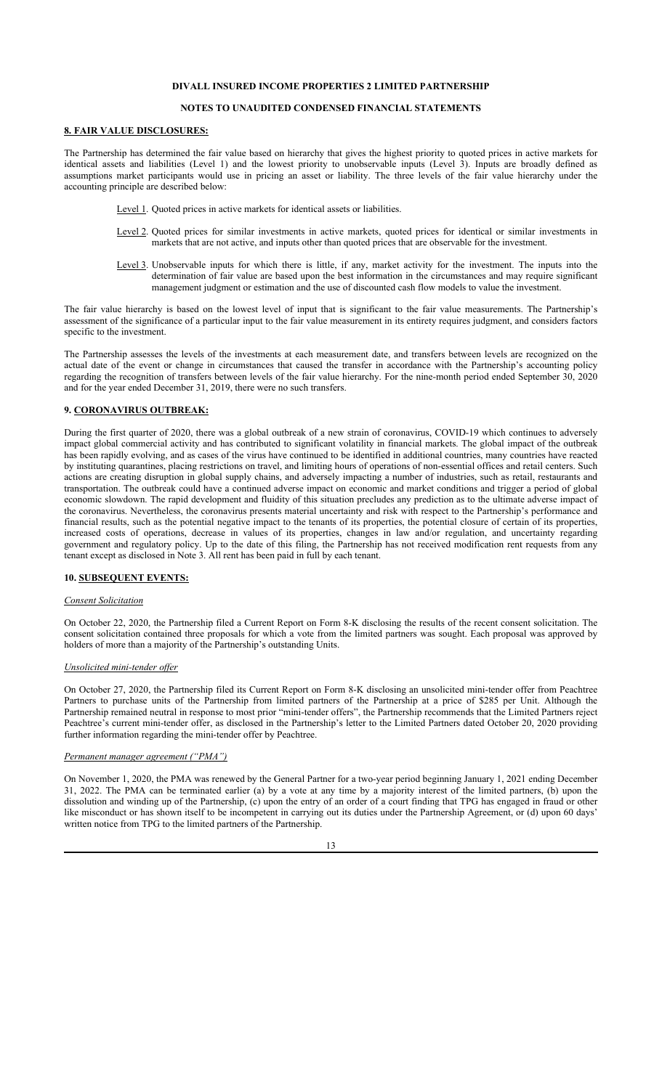#### **NOTES TO UNAUDITED CONDENSED FINANCIAL STATEMENTS**

#### **8. FAIR VALUE DISCLOSURES:**

The Partnership has determined the fair value based on hierarchy that gives the highest priority to quoted prices in active markets for identical assets and liabilities (Level 1) and the lowest priority to unobservable inputs (Level 3). Inputs are broadly defined as assumptions market participants would use in pricing an asset or liability. The three levels of the fair value hierarchy under the accounting principle are described below:

- Level 1. Quoted prices in active markets for identical assets or liabilities.
- Level 2. Quoted prices for similar investments in active markets, quoted prices for identical or similar investments in markets that are not active, and inputs other than quoted prices that are observable for the investment.
- Level 3. Unobservable inputs for which there is little, if any, market activity for the investment. The inputs into the determination of fair value are based upon the best information in the circumstances and may require significant management judgment or estimation and the use of discounted cash flow models to value the investment.

The fair value hierarchy is based on the lowest level of input that is significant to the fair value measurements. The Partnership's assessment of the significance of a particular input to the fair value measurement in its entirety requires judgment, and considers factors specific to the investment.

The Partnership assesses the levels of the investments at each measurement date, and transfers between levels are recognized on the actual date of the event or change in circumstances that caused the transfer in accordance with the Partnership's accounting policy regarding the recognition of transfers between levels of the fair value hierarchy. For the nine-month period ended September 30, 2020 and for the year ended December 31, 2019, there were no such transfers.

#### **9. CORONAVIRUS OUTBREAK:**

During the first quarter of 2020, there was a global outbreak of a new strain of coronavirus, COVID-19 which continues to adversely impact global commercial activity and has contributed to significant volatility in financial markets. The global impact of the outbreak has been rapidly evolving, and as cases of the virus have continued to be identified in additional countries, many countries have reacted by instituting quarantines, placing restrictions on travel, and limiting hours of operations of non-essential offices and retail centers. Such actions are creating disruption in global supply chains, and adversely impacting a number of industries, such as retail, restaurants and transportation. The outbreak could have a continued adverse impact on economic and market conditions and trigger a period of global economic slowdown. The rapid development and fluidity of this situation precludes any prediction as to the ultimate adverse impact of the coronavirus. Nevertheless, the coronavirus presents material uncertainty and risk with respect to the Partnership's performance and financial results, such as the potential negative impact to the tenants of its properties, the potential closure of certain of its properties, increased costs of operations, decrease in values of its properties, changes in law and/or regulation, and uncertainty regarding government and regulatory policy. Up to the date of this filing, the Partnership has not received modification rent requests from any tenant except as disclosed in Note 3. All rent has been paid in full by each tenant.

#### **10. SUBSEQUENT EVENTS:**

#### *Consent Solicitation*

On October 22, 2020, the Partnership filed a Current Report on Form 8-K disclosing the results of the recent consent solicitation. The consent solicitation contained three proposals for which a vote from the limited partners was sought. Each proposal was approved by holders of more than a majority of the Partnership's outstanding Units.

#### *Unsolicited mini-tender offer*

On October 27, 2020, the Partnership filed its Current Report on Form 8-K disclosing an unsolicited mini-tender offer from Peachtree Partners to purchase units of the Partnership from limited partners of the Partnership at a price of \$285 per Unit. Although the Partnership remained neutral in response to most prior "mini-tender offers", the Partnership recommends that the Limited Partners reject Peachtree's current mini-tender offer, as disclosed in the Partnership's letter to the Limited Partners dated October 20, 2020 providing further information regarding the mini-tender offer by Peachtree.

#### *Permanent manager agreement ("PMA")*

On November 1, 2020, the PMA was renewed by the General Partner for a two-year period beginning January 1, 2021 ending December 31, 2022. The PMA can be terminated earlier (a) by a vote at any time by a majority interest of the limited partners, (b) upon the dissolution and winding up of the Partnership, (c) upon the entry of an order of a court finding that TPG has engaged in fraud or other like misconduct or has shown itself to be incompetent in carrying out its duties under the Partnership Agreement, or (d) upon 60 days' written notice from TPG to the limited partners of the Partnership.

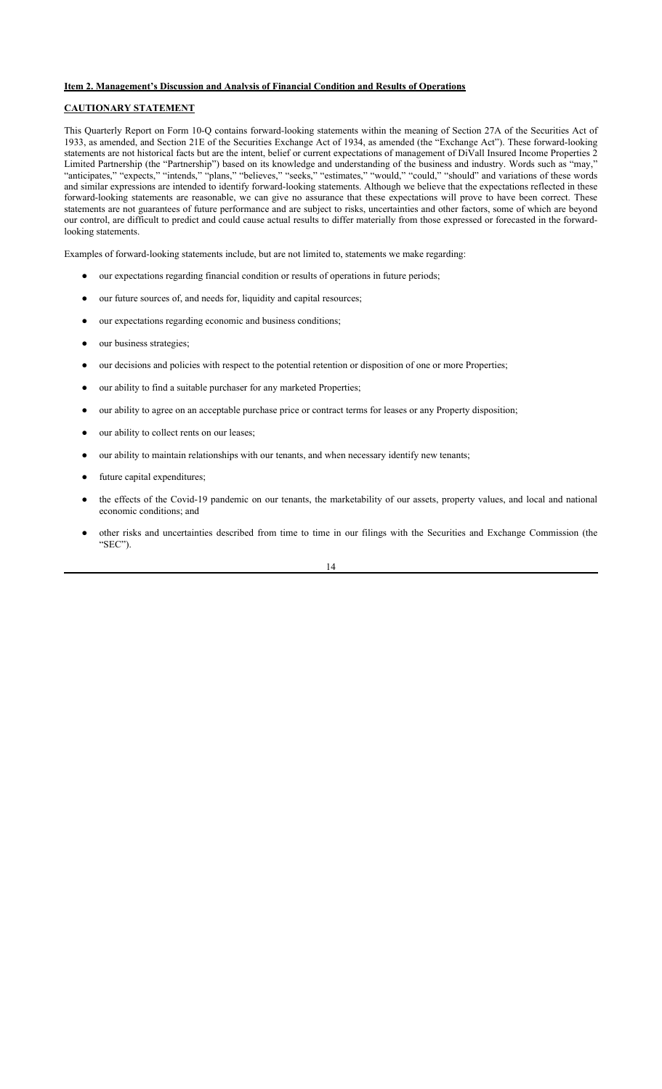#### **Item 2. Management's Discussion and Analysis of Financial Condition and Results of Operations**

#### **CAUTIONARY STATEMENT**

This Quarterly Report on Form 10-Q contains forward-looking statements within the meaning of Section 27A of the Securities Act of 1933, as amended, and Section 21E of the Securities Exchange Act of 1934, as amended (the "Exchange Act"). These forward-looking statements are not historical facts but are the intent, belief or current expectations of management of DiVall Insured Income Properties 2 Limited Partnership (the "Partnership") based on its knowledge and understanding of the business and industry. Words such as "may," "anticipates," "expects," "intends," "plans," "believes," "seeks," "estimates," "would," "could," "should" and variations of these words and similar expressions are intended to identify forward-looking statements. Although we believe that the expectations reflected in these forward-looking statements are reasonable, we can give no assurance that these expectations will prove to have been correct. These statements are not guarantees of future performance and are subject to risks, uncertainties and other factors, some of which are beyond our control, are difficult to predict and could cause actual results to differ materially from those expressed or forecasted in the forwardlooking statements.

Examples of forward-looking statements include, but are not limited to, statements we make regarding:

- our expectations regarding financial condition or results of operations in future periods;
- our future sources of, and needs for, liquidity and capital resources;
- our expectations regarding economic and business conditions;
- our business strategies;
- our decisions and policies with respect to the potential retention or disposition of one or more Properties;
- our ability to find a suitable purchaser for any marketed Properties;
- our ability to agree on an acceptable purchase price or contract terms for leases or any Property disposition;
- our ability to collect rents on our leases;
- our ability to maintain relationships with our tenants, and when necessary identify new tenants;
- future capital expenditures;
- the effects of the Covid-19 pandemic on our tenants, the marketability of our assets, property values, and local and national economic conditions; and
- other risks and uncertainties described from time to time in our filings with the Securities and Exchange Commission (the "SEC").

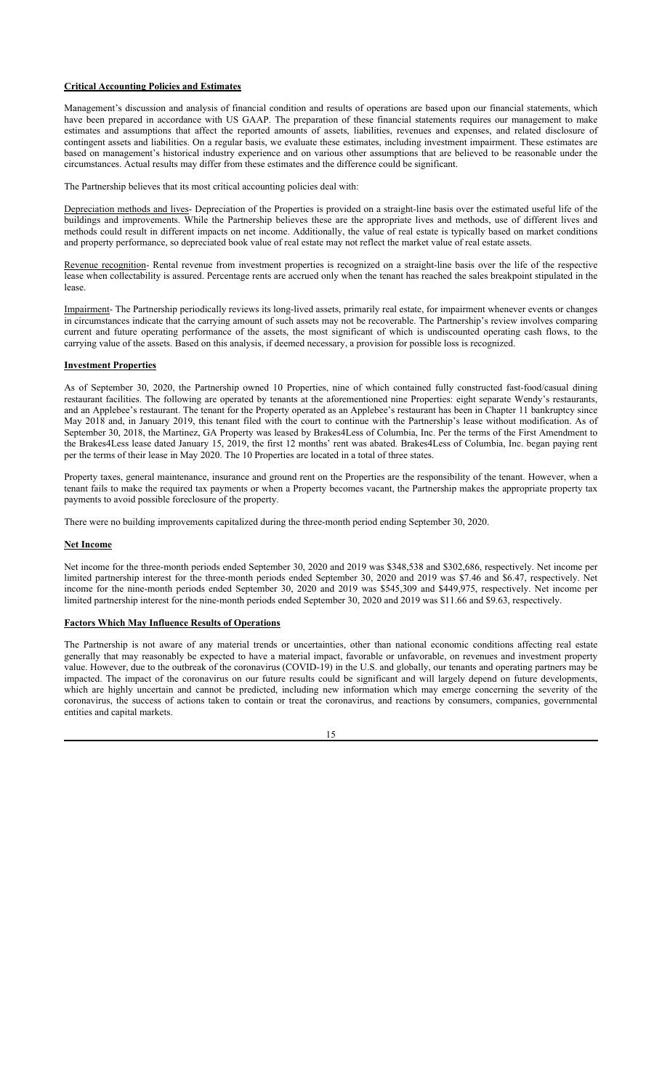#### **Critical Accounting Policies and Estimates**

Management's discussion and analysis of financial condition and results of operations are based upon our financial statements, which have been prepared in accordance with US GAAP. The preparation of these financial statements requires our management to make estimates and assumptions that affect the reported amounts of assets, liabilities, revenues and expenses, and related disclosure of contingent assets and liabilities. On a regular basis, we evaluate these estimates, including investment impairment. These estimates are based on management's historical industry experience and on various other assumptions that are believed to be reasonable under the circumstances. Actual results may differ from these estimates and the difference could be significant.

The Partnership believes that its most critical accounting policies deal with:

Depreciation methods and lives- Depreciation of the Properties is provided on a straight-line basis over the estimated useful life of the buildings and improvements. While the Partnership believes these are the appropriate lives and methods, use of different lives and methods could result in different impacts on net income. Additionally, the value of real estate is typically based on market conditions and property performance, so depreciated book value of real estate may not reflect the market value of real estate assets.

Revenue recognition- Rental revenue from investment properties is recognized on a straight-line basis over the life of the respective lease when collectability is assured. Percentage rents are accrued only when the tenant has reached the sales breakpoint stipulated in the lease.

Impairment- The Partnership periodically reviews its long-lived assets, primarily real estate, for impairment whenever events or changes in circumstances indicate that the carrying amount of such assets may not be recoverable. The Partnership's review involves comparing current and future operating performance of the assets, the most significant of which is undiscounted operating cash flows, to the carrying value of the assets. Based on this analysis, if deemed necessary, a provision for possible loss is recognized.

#### **Investment Properties**

As of September 30, 2020, the Partnership owned 10 Properties, nine of which contained fully constructed fast-food/casual dining restaurant facilities. The following are operated by tenants at the aforementioned nine Properties: eight separate Wendy's restaurants, and an Applebee's restaurant. The tenant for the Property operated as an Applebee's restaurant has been in Chapter 11 bankruptcy since May 2018 and, in January 2019, this tenant filed with the court to continue with the Partnership's lease without modification. As of September 30, 2018, the Martinez, GA Property was leased by Brakes4Less of Columbia, Inc. Per the terms of the First Amendment to the Brakes4Less lease dated January 15, 2019, the first 12 months' rent was abated. Brakes4Less of Columbia, Inc. began paying rent per the terms of their lease in May 2020. The 10 Properties are located in a total of three states.

Property taxes, general maintenance, insurance and ground rent on the Properties are the responsibility of the tenant. However, when a tenant fails to make the required tax payments or when a Property becomes vacant, the Partnership makes the appropriate property tax payments to avoid possible foreclosure of the property.

There were no building improvements capitalized during the three-month period ending September 30, 2020.

#### **Net Income**

Net income for the three-month periods ended September 30, 2020 and 2019 was \$348,538 and \$302,686, respectively. Net income per limited partnership interest for the three-month periods ended September 30, 2020 and 2019 was \$7.46 and \$6.47, respectively. Net income for the nine-month periods ended September 30, 2020 and 2019 was \$545,309 and \$449,975, respectively. Net income per limited partnership interest for the nine-month periods ended September 30, 2020 and 2019 was \$11.66 and \$9.63, respectively.

#### **Factors Which May Influence Results of Operations**

The Partnership is not aware of any material trends or uncertainties, other than national economic conditions affecting real estate generally that may reasonably be expected to have a material impact, favorable or unfavorable, on revenues and investment property value. However, due to the outbreak of the coronavirus (COVID-19) in the U.S. and globally, our tenants and operating partners may be impacted. The impact of the coronavirus on our future results could be significant and will largely depend on future developments, which are highly uncertain and cannot be predicted, including new information which may emerge concerning the severity of the coronavirus, the success of actions taken to contain or treat the coronavirus, and reactions by consumers, companies, governmental entities and capital markets.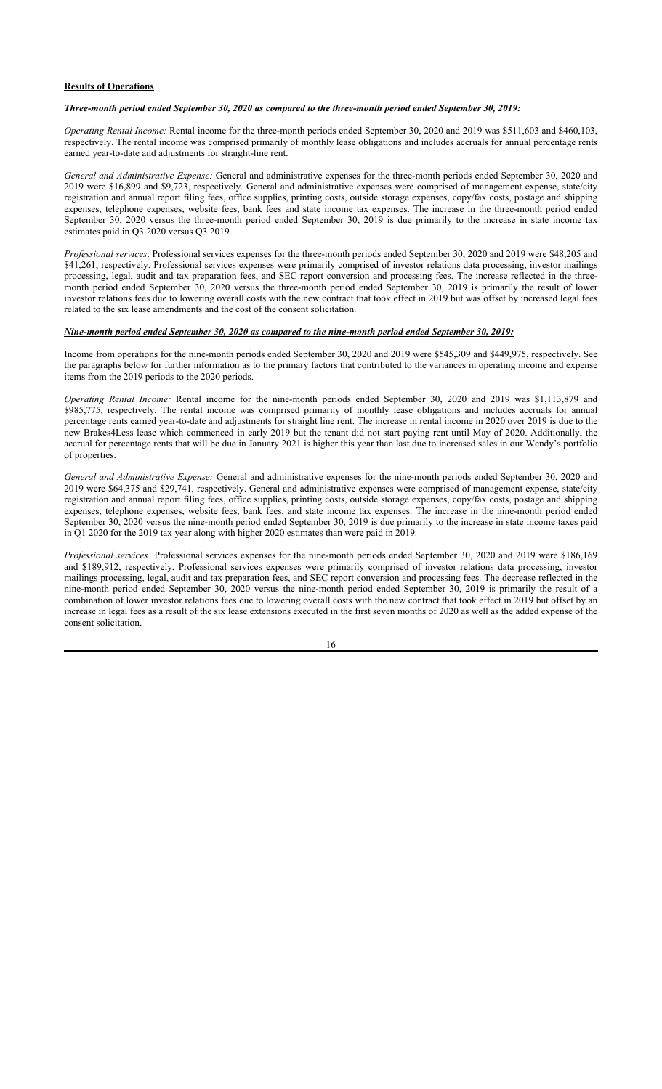#### **Results of Operations**

#### *Three-month period ended September 30, 2020 as compared to the three-month period ended September 30, 2019:*

*Operating Rental Income:* Rental income for the three-month periods ended September 30, 2020 and 2019 was \$511,603 and \$460,103, respectively. The rental income was comprised primarily of monthly lease obligations and includes accruals for annual percentage rents earned year-to-date and adjustments for straight-line rent.

*General and Administrative Expense:* General and administrative expenses for the three-month periods ended September 30, 2020 and 2019 were \$16,899 and \$9,723, respectively. General and administrative expenses were comprised of management expense, state/city registration and annual report filing fees, office supplies, printing costs, outside storage expenses, copy/fax costs, postage and shipping expenses, telephone expenses, website fees, bank fees and state income tax expenses. The increase in the three-month period ended September 30, 2020 versus the three-month period ended September 30, 2019 is due primarily to the increase in state income tax estimates paid in Q3 2020 versus Q3 2019.

*Professional services*: Professional services expenses for the three-month periods ended September 30, 2020 and 2019 were \$48,205 and \$41,261, respectively. Professional services expenses were primarily comprised of investor relations data processing, investor mailings processing, legal, audit and tax preparation fees, and SEC report conversion and processing fees. The increase reflected in the threemonth period ended September 30, 2020 versus the three-month period ended September 30, 2019 is primarily the result of lower investor relations fees due to lowering overall costs with the new contract that took effect in 2019 but was offset by increased legal fees related to the six lease amendments and the cost of the consent solicitation.

#### *Nine-month period ended September 30, 2020 as compared to the nine-month period ended September 30, 2019:*

Income from operations for the nine-month periods ended September 30, 2020 and 2019 were \$545,309 and \$449,975, respectively. See the paragraphs below for further information as to the primary factors that contributed to the variances in operating income and expense items from the 2019 periods to the 2020 periods.

*Operating Rental Income:* Rental income for the nine-month periods ended September 30, 2020 and 2019 was \$1,113,879 and \$985,775, respectively. The rental income was comprised primarily of monthly lease obligations and includes accruals for annual percentage rents earned year-to-date and adjustments for straight line rent. The increase in rental income in 2020 over 2019 is due to the new Brakes4Less lease which commenced in early 2019 but the tenant did not start paying rent until May of 2020. Additionally, the accrual for percentage rents that will be due in January 2021 is higher this year than last due to increased sales in our Wendy's portfolio of properties.

*General and Administrative Expense:* General and administrative expenses for the nine-month periods ended September 30, 2020 and 2019 were \$64,375 and \$29,741, respectively. General and administrative expenses were comprised of management expense, state/city registration and annual report filing fees, office supplies, printing costs, outside storage expenses, copy/fax costs, postage and shipping expenses, telephone expenses, website fees, bank fees, and state income tax expenses. The increase in the nine-month period ended September 30, 2020 versus the nine-month period ended September 30, 2019 is due primarily to the increase in state income taxes paid in Q1 2020 for the 2019 tax year along with higher 2020 estimates than were paid in 2019.

*Professional services:* Professional services expenses for the nine-month periods ended September 30, 2020 and 2019 were \$186,169 and \$189,912, respectively. Professional services expenses were primarily comprised of investor relations data processing, investor mailings processing, legal, audit and tax preparation fees, and SEC report conversion and processing fees. The decrease reflected in the nine-month period ended September 30, 2020 versus the nine-month period ended September 30, 2019 is primarily the result of a combination of lower investor relations fees due to lowering overall costs with the new contract that took effect in 2019 but offset by an increase in legal fees as a result of the six lease extensions executed in the first seven months of 2020 as well as the added expense of the consent solicitation.

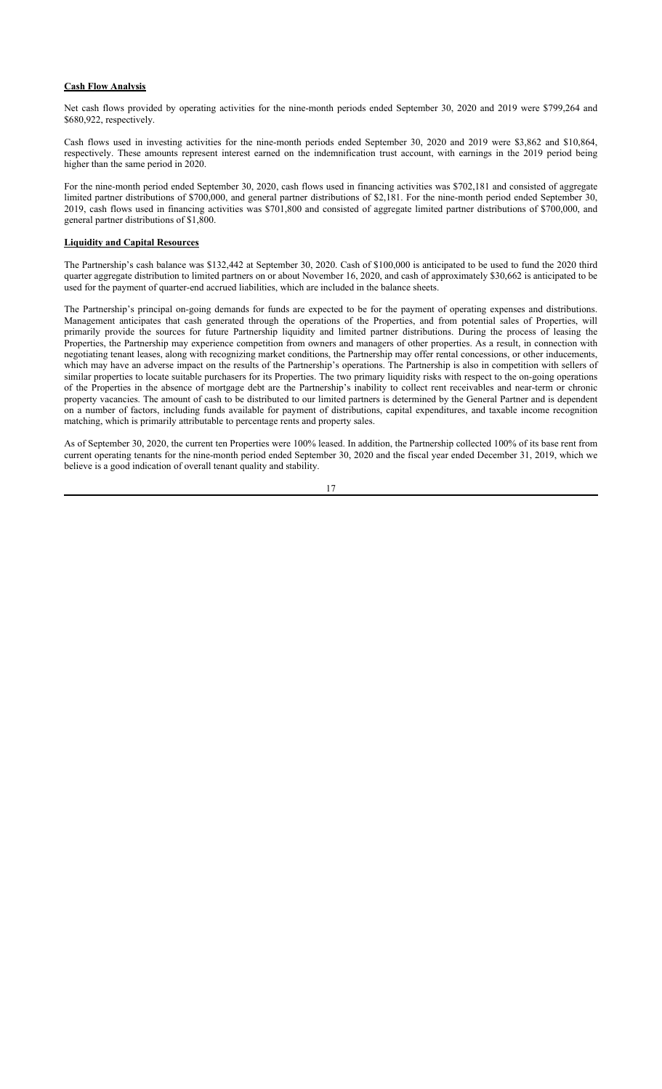#### **Cash Flow Analysis**

Net cash flows provided by operating activities for the nine-month periods ended September 30, 2020 and 2019 were \$799,264 and \$680,922, respectively.

Cash flows used in investing activities for the nine-month periods ended September 30, 2020 and 2019 were \$3,862 and \$10,864, respectively. These amounts represent interest earned on the indemnification trust account, with earnings in the 2019 period being higher than the same period in 2020.

For the nine-month period ended September 30, 2020, cash flows used in financing activities was \$702,181 and consisted of aggregate limited partner distributions of \$700,000, and general partner distributions of \$2,181. For the nine-month period ended September 30, 2019, cash flows used in financing activities was \$701,800 and consisted of aggregate limited partner distributions of \$700,000, and general partner distributions of \$1,800.

#### **Liquidity and Capital Resources**

The Partnership's cash balance was \$132,442 at September 30, 2020. Cash of \$100,000 is anticipated to be used to fund the 2020 third quarter aggregate distribution to limited partners on or about November 16, 2020, and cash of approximately \$30,662 is anticipated to be used for the payment of quarter-end accrued liabilities, which are included in the balance sheets.

The Partnership's principal on-going demands for funds are expected to be for the payment of operating expenses and distributions. Management anticipates that cash generated through the operations of the Properties, and from potential sales of Properties, will primarily provide the sources for future Partnership liquidity and limited partner distributions. During the process of leasing the Properties, the Partnership may experience competition from owners and managers of other properties. As a result, in connection with negotiating tenant leases, along with recognizing market conditions, the Partnership may offer rental concessions, or other inducements, which may have an adverse impact on the results of the Partnership's operations. The Partnership is also in competition with sellers of similar properties to locate suitable purchasers for its Properties. The two primary liquidity risks with respect to the on-going operations of the Properties in the absence of mortgage debt are the Partnership's inability to collect rent receivables and near-term or chronic property vacancies. The amount of cash to be distributed to our limited partners is determined by the General Partner and is dependent on a number of factors, including funds available for payment of distributions, capital expenditures, and taxable income recognition matching, which is primarily attributable to percentage rents and property sales.

As of September 30, 2020, the current ten Properties were 100% leased. In addition, the Partnership collected 100% of its base rent from current operating tenants for the nine-month period ended September 30, 2020 and the fiscal year ended December 31, 2019, which we believe is a good indication of overall tenant quality and stability.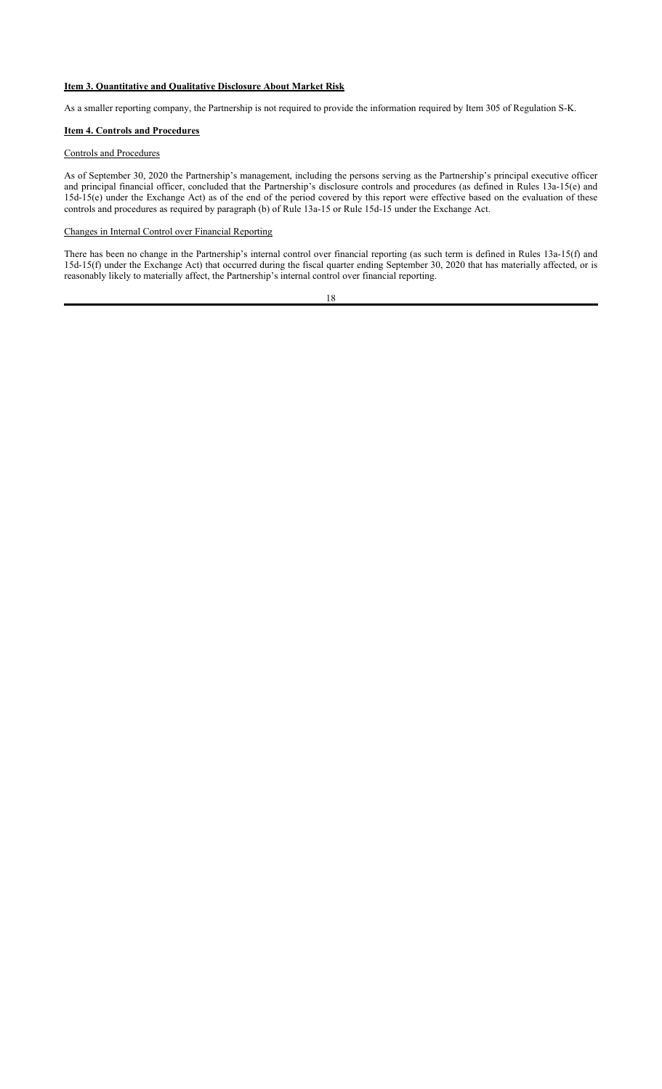#### **Item 3. Quantitative and Qualitative Disclosure About Market Risk**

As a smaller reporting company, the Partnership is not required to provide the information required by Item 305 of Regulation S-K.

#### **Item 4. Controls and Procedures**

#### Controls and Procedures

As of September 30, 2020 the Partnership's management, including the persons serving as the Partnership's principal executive officer and principal financial officer, concluded that the Partnership's disclosure controls and procedures (as defined in Rules 13a-15(e) and 15d-15(e) under the Exchange Act) as of the end of the period covered by this report were effective based on the evaluation of these controls and procedures as required by paragraph (b) of Rule 13a-15 or Rule 15d-15 under the Exchange Act.

#### Changes in Internal Control over Financial Reporting

There has been no change in the Partnership's internal control over financial reporting (as such term is defined in Rules 13a-15(f) and 15d-15(f) under the Exchange Act) that occurred during the fiscal quarter ending September 30, 2020 that has materially affected, or is reasonably likely to materially affect, the Partnership's internal control over financial reporting.

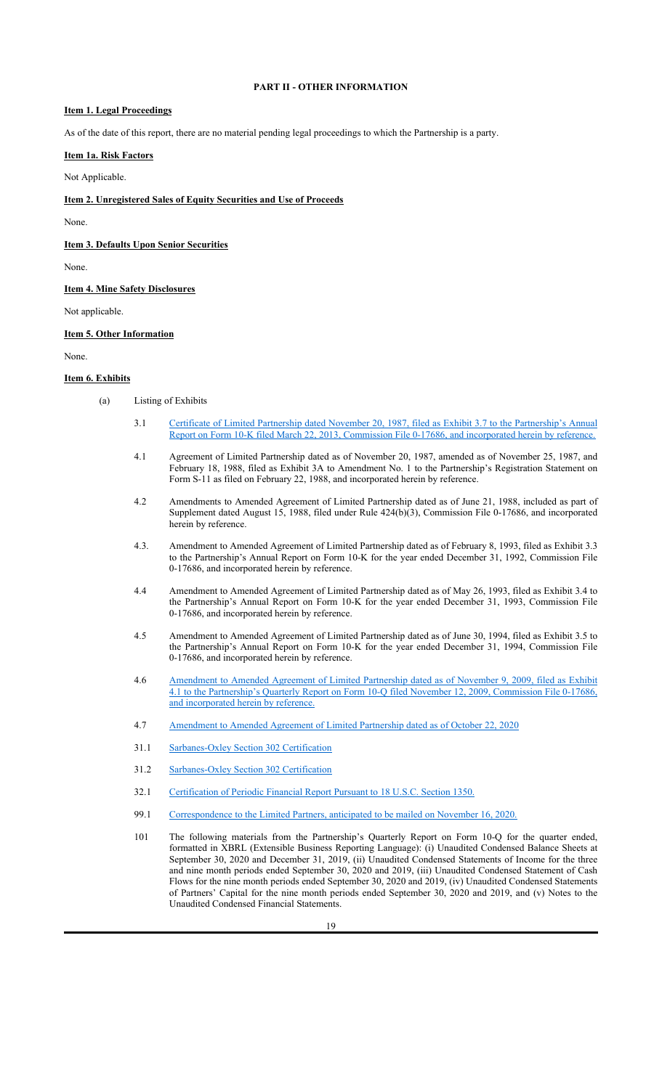#### **PART II - OTHER INFORMATION**

### **Item 1. Legal Proceedings**

As of the date of this report, there are no material pending legal proceedings to which the Partnership is a party.

#### **Item 1a. Risk Factors**

Not Applicable.

**Item 2. Unregistered Sales of Equity Securities and Use of Proceeds**

None.

#### **Item 3. Defaults Upon Senior Securities**

None.

#### **Item 4. Mine Safety Disclosures**

Not applicable.

#### **Item 5. Other Information**

None.

#### **Item 6. Exhibits**

- (a) Listing of Exhibits
	- 3.1 Certificate of Limited Partnership dated November 20, 1987, filed as Exhibit 3.7 to the Partnership's Annual Report on Form 10-K filed March 22, 2013, Commission File 0-17686, and incorporated herein by reference.
	- 4.1 Agreement of Limited Partnership dated as of November 20, 1987, amended as of November 25, 1987, and February 18, 1988, filed as Exhibit 3A to Amendment No. 1 to the Partnership's Registration Statement on Form S-11 as filed on February 22, 1988, and incorporated herein by reference.
	- 4.2 Amendments to Amended Agreement of Limited Partnership dated as of June 21, 1988, included as part of Supplement dated August 15, 1988, filed under Rule 424(b)(3), Commission File 0-17686, and incorporated herein by reference.
	- 4.3. Amendment to Amended Agreement of Limited Partnership dated as of February 8, 1993, filed as Exhibit 3.3 to the Partnership's Annual Report on Form 10-K for the year ended December 31, 1992, Commission File 0-17686, and incorporated herein by reference.
	- 4.4 Amendment to Amended Agreement of Limited Partnership dated as of May 26, 1993, filed as Exhibit 3.4 to the Partnership's Annual Report on Form 10-K for the year ended December 31, 1993, Commission File 0-17686, and incorporated herein by reference.
	- 4.5 Amendment to Amended Agreement of Limited Partnership dated as of June 30, 1994, filed as Exhibit 3.5 to the Partnership's Annual Report on Form 10-K for the year ended December 31, 1994, Commission File 0-17686, and incorporated herein by reference.
	- 4.6 Amendment to Amended Agreement of Limited Partnership dated as of November 9, 2009, filed as Exhibit 4.1 to the Partnership's Quarterly Report on Form 10-Q filed November 12, 2009, Commission File 0-17686, and incorporated herein by reference.
	- 4.7 Amendment to Amended Agreement of Limited Partnership dated as of October 22, 2020
	- 31.1 Sarbanes-Oxley Section 302 Certification
	- 31.2 Sarbanes-Oxley Section 302 Certification
	- 32.1 Certification of Periodic Financial Report Pursuant to 18 U.S.C. Section 1350.
	- 99.1 Correspondence to the Limited Partners, anticipated to be mailed on November 16, 2020.
	- 101 The following materials from the Partnership's Quarterly Report on Form 10-Q for the quarter ended, formatted in XBRL (Extensible Business Reporting Language): (i) Unaudited Condensed Balance Sheets at September 30, 2020 and December 31, 2019, (ii) Unaudited Condensed Statements of Income for the three and nine month periods ended September 30, 2020 and 2019, (iii) Unaudited Condensed Statement of Cash Flows for the nine month periods ended September 30, 2020 and 2019, (iv) Unaudited Condensed Statements of Partners' Capital for the nine month periods ended September 30, 2020 and 2019, and (v) Notes to the Unaudited Condensed Financial Statements.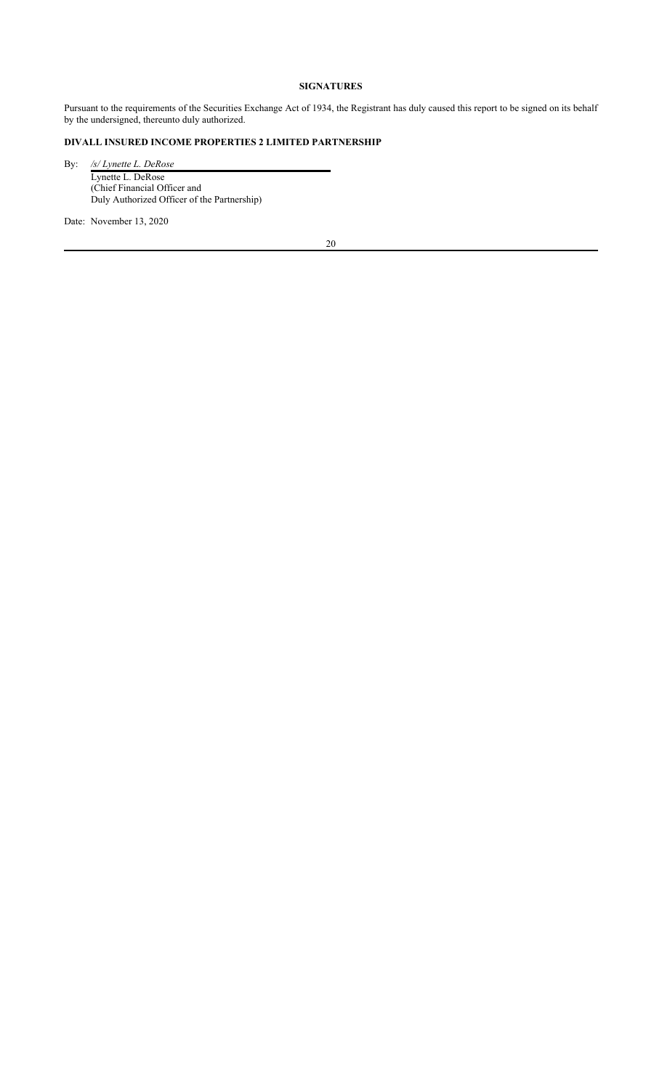## **SIGNATURES**

Pursuant to the requirements of the Securities Exchange Act of 1934, the Registrant has duly caused this report to be signed on its behalf by the undersigned, thereunto duly authorized.

## **DIVALL INSURED INCOME PROPERTIES 2 LIMITED PARTNERSHIP**

By: */s/ Lynette L. DeRose* Lynette L. DeRose (Chief Financial Officer and Duly Authorized Officer of the Partnership)

Date: November 13, 2020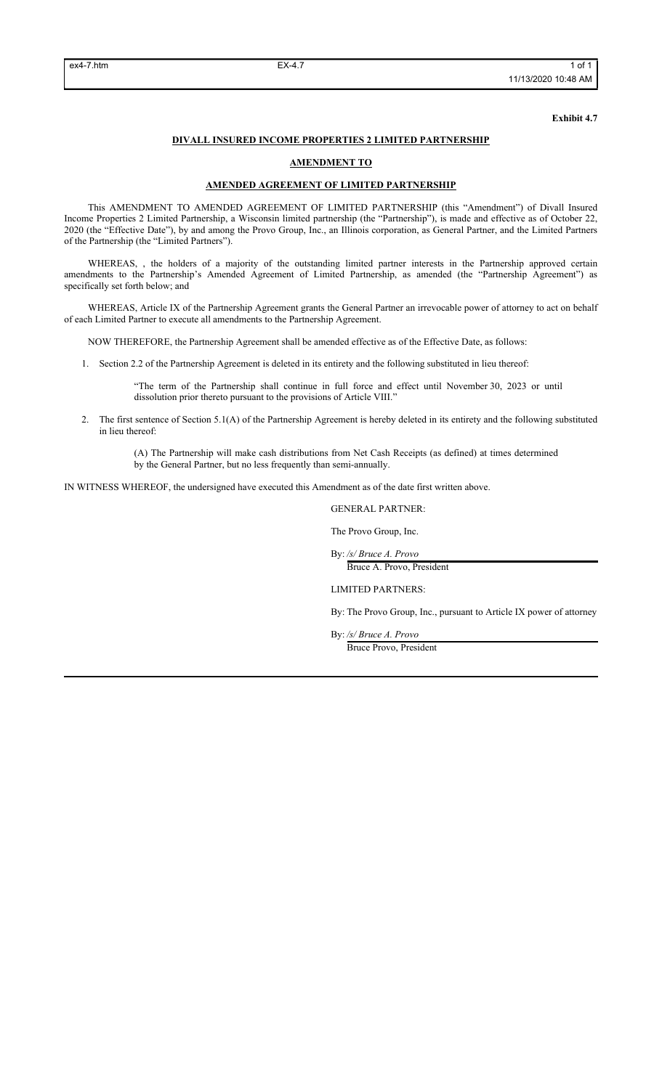#### **Exhibit 4.7**

#### **DIVALL INSURED INCOME PROPERTIES 2 LIMITED PARTNERSHIP**

#### **AMENDMENT TO**

#### **AMENDED AGREEMENT OF LIMITED PARTNERSHIP**

This AMENDMENT TO AMENDED AGREEMENT OF LIMITED PARTNERSHIP (this "Amendment") of Divall Insured Income Properties 2 Limited Partnership, a Wisconsin limited partnership (the "Partnership"), is made and effective as of October 22, 2020 (the "Effective Date"), by and among the Provo Group, Inc., an Illinois corporation, as General Partner, and the Limited Partners of the Partnership (the "Limited Partners").

WHEREAS, , the holders of a majority of the outstanding limited partner interests in the Partnership approved certain amendments to the Partnership's Amended Agreement of Limited Partnership, as amended (the "Partnership Agreement") as specifically set forth below; and

WHEREAS, Article IX of the Partnership Agreement grants the General Partner an irrevocable power of attorney to act on behalf of each Limited Partner to execute all amendments to the Partnership Agreement.

NOW THEREFORE, the Partnership Agreement shall be amended effective as of the Effective Date, as follows:

1. Section 2.2 of the Partnership Agreement is deleted in its entirety and the following substituted in lieu thereof:

"The term of the Partnership shall continue in full force and effect until November 30, 2023 or until dissolution prior thereto pursuant to the provisions of Article VIII."

2. The first sentence of Section 5.1(A) of the Partnership Agreement is hereby deleted in its entirety and the following substituted in lieu thereof:

(A) The Partnership will make cash distributions from Net Cash Receipts (as defined) at times determined by the General Partner, but no less frequently than semi-annually.

IN WITNESS WHEREOF, the undersigned have executed this Amendment as of the date first written above.

#### GENERAL PARTNER:

The Provo Group, Inc.

By: */s/ Bruce A. Provo* Bruce A. Provo, President

LIMITED PARTNERS:

By: The Provo Group, Inc., pursuant to Article IX power of attorney

By: */s/ Bruce A. Provo*

Bruce Provo, President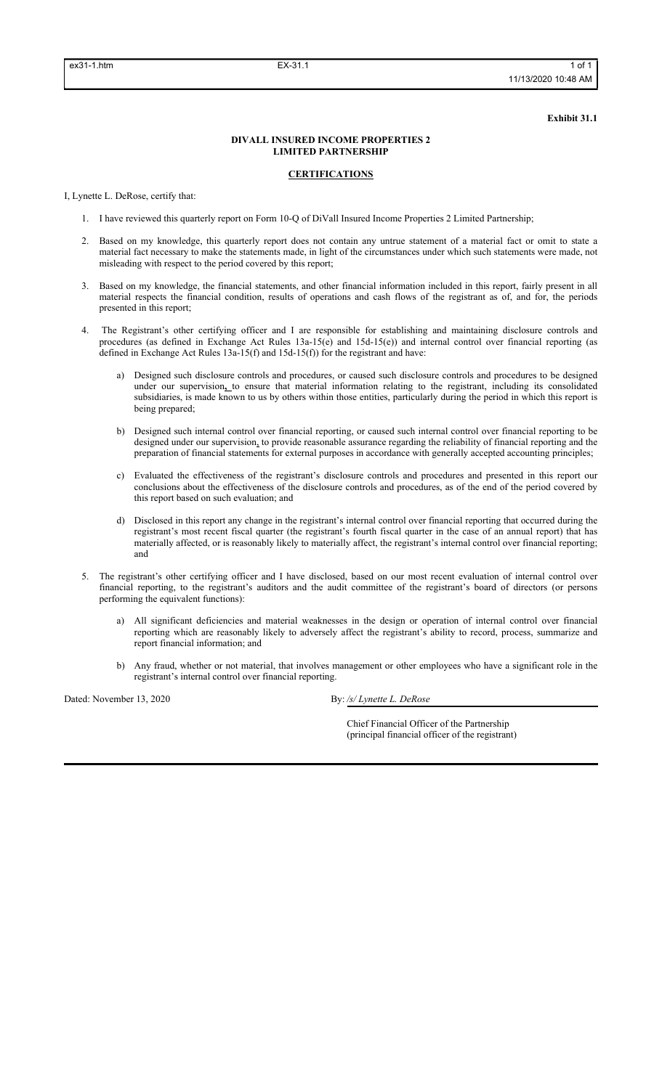#### **Exhibit 31.1**

#### **DIVALL INSURED INCOME PROPERTIES 2 LIMITED PARTNERSHIP**

#### **CERTIFICATIONS**

I, Lynette L. DeRose, certify that:

- 1. I have reviewed this quarterly report on Form 10-Q of DiVall Insured Income Properties 2 Limited Partnership;
- 2. Based on my knowledge, this quarterly report does not contain any untrue statement of a material fact or omit to state a material fact necessary to make the statements made, in light of the circumstances under which such statements were made, not misleading with respect to the period covered by this report;
- 3. Based on my knowledge, the financial statements, and other financial information included in this report, fairly present in all material respects the financial condition, results of operations and cash flows of the registrant as of, and for, the periods presented in this report;
- The Registrant's other certifying officer and I are responsible for establishing and maintaining disclosure controls and procedures (as defined in Exchange Act Rules 13a-15(e) and 15d-15(e)) and internal control over financial reporting (as defined in Exchange Act Rules 13a-15(f) and 15d-15(f)) for the registrant and have:
	- a) Designed such disclosure controls and procedures, or caused such disclosure controls and procedures to be designed under our supervision**,** to ensure that material information relating to the registrant, including its consolidated subsidiaries, is made known to us by others within those entities, particularly during the period in which this report is being prepared;
	- b) Designed such internal control over financial reporting, or caused such internal control over financial reporting to be designed under our supervision, to provide reasonable assurance regarding the reliability of financial reporting and the preparation of financial statements for external purposes in accordance with generally accepted accounting principles;
	- c) Evaluated the effectiveness of the registrant's disclosure controls and procedures and presented in this report our conclusions about the effectiveness of the disclosure controls and procedures, as of the end of the period covered by this report based on such evaluation; and
	- d) Disclosed in this report any change in the registrant's internal control over financial reporting that occurred during the registrant's most recent fiscal quarter (the registrant's fourth fiscal quarter in the case of an annual report) that has materially affected, or is reasonably likely to materially affect, the registrant's internal control over financial reporting; and
- 5. The registrant's other certifying officer and I have disclosed, based on our most recent evaluation of internal control over financial reporting, to the registrant's auditors and the audit committee of the registrant's board of directors (or persons performing the equivalent functions):
	- a) All significant deficiencies and material weaknesses in the design or operation of internal control over financial reporting which are reasonably likely to adversely affect the registrant's ability to record, process, summarize and report financial information; and
	- b) Any fraud, whether or not material, that involves management or other employees who have a significant role in the registrant's internal control over financial reporting.

Dated: November 13, 2020 By: /s/ Lynette L. DeRose

Chief Financial Officer of the Partnership (principal financial officer of the registrant)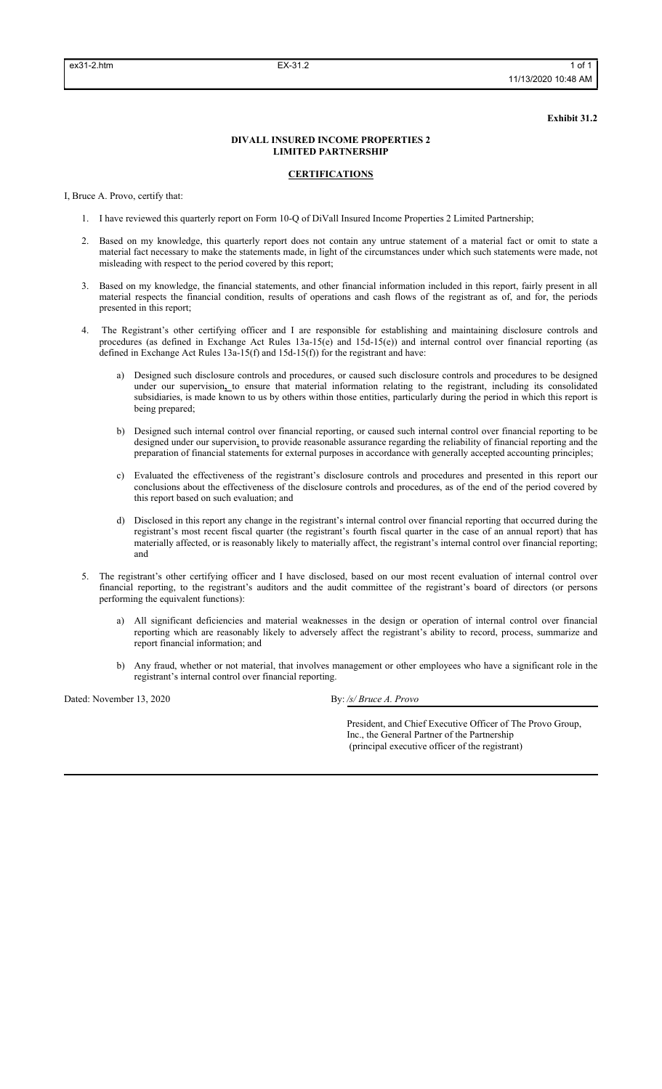#### **Exhibit 31.2**

#### **DIVALL INSURED INCOME PROPERTIES 2 LIMITED PARTNERSHIP**

#### **CERTIFICATIONS**

I, Bruce A. Provo, certify that:

- 1. I have reviewed this quarterly report on Form 10-Q of DiVall Insured Income Properties 2 Limited Partnership;
- 2. Based on my knowledge, this quarterly report does not contain any untrue statement of a material fact or omit to state a material fact necessary to make the statements made, in light of the circumstances under which such statements were made, not misleading with respect to the period covered by this report;
- 3. Based on my knowledge, the financial statements, and other financial information included in this report, fairly present in all material respects the financial condition, results of operations and cash flows of the registrant as of, and for, the periods presented in this report;
- The Registrant's other certifying officer and I are responsible for establishing and maintaining disclosure controls and procedures (as defined in Exchange Act Rules 13a-15(e) and 15d-15(e)) and internal control over financial reporting (as defined in Exchange Act Rules 13a-15(f) and 15d-15(f)) for the registrant and have:
	- a) Designed such disclosure controls and procedures, or caused such disclosure controls and procedures to be designed under our supervision**,** to ensure that material information relating to the registrant, including its consolidated subsidiaries, is made known to us by others within those entities, particularly during the period in which this report is being prepared;
	- b) Designed such internal control over financial reporting, or caused such internal control over financial reporting to be designed under our supervision, to provide reasonable assurance regarding the reliability of financial reporting and the preparation of financial statements for external purposes in accordance with generally accepted accounting principles;
	- c) Evaluated the effectiveness of the registrant's disclosure controls and procedures and presented in this report our conclusions about the effectiveness of the disclosure controls and procedures, as of the end of the period covered by this report based on such evaluation; and
	- d) Disclosed in this report any change in the registrant's internal control over financial reporting that occurred during the registrant's most recent fiscal quarter (the registrant's fourth fiscal quarter in the case of an annual report) that has materially affected, or is reasonably likely to materially affect, the registrant's internal control over financial reporting; and
- 5. The registrant's other certifying officer and I have disclosed, based on our most recent evaluation of internal control over financial reporting, to the registrant's auditors and the audit committee of the registrant's board of directors (or persons performing the equivalent functions):
	- a) All significant deficiencies and material weaknesses in the design or operation of internal control over financial reporting which are reasonably likely to adversely affect the registrant's ability to record, process, summarize and report financial information; and
	- b) Any fraud, whether or not material, that involves management or other employees who have a significant role in the registrant's internal control over financial reporting.

Dated: November 13, 2020 By: /s/ Bruce A. Provo

President, and Chief Executive Officer of The Provo Group, Inc., the General Partner of the Partnership (principal executive officer of the registrant)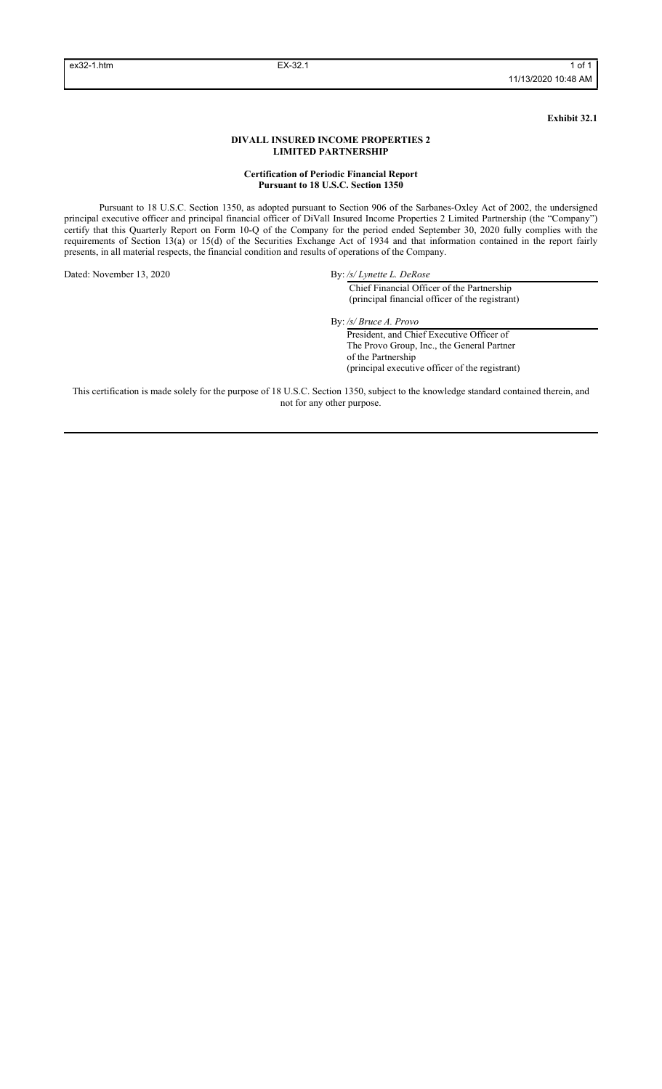**Exhibit 32.1**

#### **DIVALL INSURED INCOME PROPERTIES 2 LIMITED PARTNERSHIP**

#### **Certification of Periodic Financial Report Pursuant to 18 U.S.C. Section 1350**

Pursuant to 18 U.S.C. Section 1350, as adopted pursuant to Section 906 of the Sarbanes-Oxley Act of 2002, the undersigned principal executive officer and principal financial officer of DiVall Insured Income Properties 2 Limited Partnership (the "Company") certify that this Quarterly Report on Form 10-Q of the Company for the period ended September 30, 2020 fully complies with the requirements of Section 13(a) or 15(d) of the Securities Exchange Act of 1934 and that information contained in the report fairly presents, in all material respects, the financial condition and results of operations of the Company.

Dated: November 13, 2020 By: /s/ Lynette L. DeRose

 Chief Financial Officer of the Partnership (principal financial officer of the registrant)

By: */s/ Bruce A. Provo*

President, and Chief Executive Officer of The Provo Group, Inc., the General Partner of the Partnership (principal executive officer of the registrant)

This certification is made solely for the purpose of 18 U.S.C. Section 1350, subject to the knowledge standard contained therein, and not for any other purpose.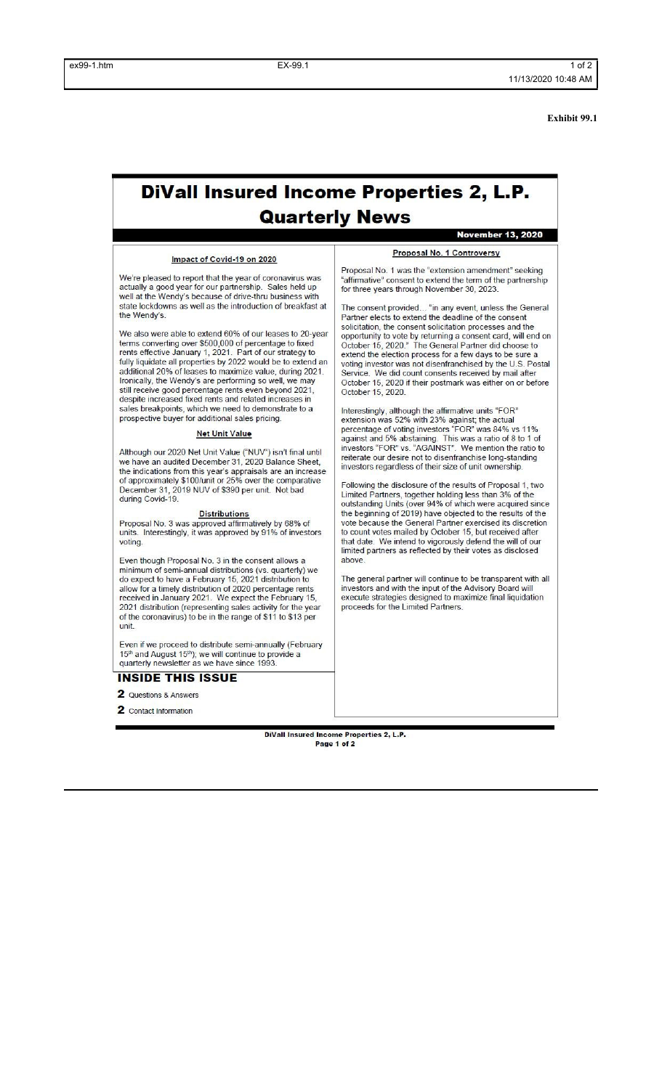**Exhibit 99.1**

# **DiVall Insured Income Properties 2, L.P. Quarterly News**

#### Impact of Covid-19 on 2020

We're pleased to report that the year of coronavirus was actually a good year for our partnership. Sales held up well at the Wendy's because of drive-thru business with state lockdowns as well as the introduction of breakfast at the Wendy's.

We also were able to extend 60% of our leases to 20-year terms converting over \$500,000 of percentage to fixed<br>rents effective January 1, 2021. Part of our strategy to fully liquidate all properties by 2022 would be to extend an additional 20% of leases to maximize value, during 2021. Ironically, the Wendy's are performing so well, we may still receive good percentage rents even beyond 2021, despite increased fixed rents and related increases in sales breakpoints, which we need to demonstrate to a<br>prospective buyer for additional sales pricing.

#### **Net Unit Value**

Although our 2020 Net Unit Value ("NUV") isn't final until<br>we have an audited December 31, 2020 Balance Sheet, the indications from this year's appraisals are an increase<br>of approximately \$100/unit or 25% over the comparative December 31, 2019 NUV of \$390 per unit. Not bad during Covid-19.

Distributions<br>Proposal No. 3 was approved affirmatively by 68% of units. Interestingly, it was approved by 91% of investors voting

Even though Proposal No. 3 in the consent allows a From interesting the main distributions (vs. quarterly) we<br>do expect to have a February 15, 2021 distribution to<br>allow for a timely distribution of 2020 percentage rents received in January 2021. We expect the February 15,<br>2021 distribution (representing sales activity for the year of the coronavirus) to be in the range of \$11 to \$13 per unit.

Even if we proceed to distribute semi-annually (February 15<sup>th</sup> and August 15<sup>th</sup>); we will continue to provide a quarterly newsletter as we have since 1993.

#### **INSIDE THIS ISSUE**

2 Questions & Answers

2 Contact Information

DiVall Insured Income Properties 2, L.P. Page 1 of 2

#### Proposal No. 1 Controversy

**November 13, 2020** 

Proposal No. 1 was the "extension amendment" seeking 'affirmative" consent to extend the term of the partnership for three years through November 30, 2023.

The consent provided... "in any event, unless the General<br>Partner elects to extend the deadline of the consent solicitation, the consent solicitation processes and the opportunity to vote by returning a consent card, will end on<br>October 15, 2020." The General Partner did choose to extend the election process for a few days to be sure a<br>voting investor was not disenfranchised by the U.S. Postal Service. We did count consents received by mail after<br>October 15, 2020 if their postmark was either on or before<br>October 15, 2020.

Interestingly, although the affirmative units "FOR" extension was 52% with 23% against; the actual<br>percentage of voting investors "FOR" was 84% vs 11% paramist and 5% abstaining. This was a ratio of 8 to 1 of<br>investors "FOR" vs. "AGAINST". We mention the ratio to reiterate our desire not to disenfranchise long-standing investors regardless of their size of unit ownership.

Following the disclosure of the results of Proposal 1, two Limited Partners, together holding less than 3% of the outstanding Units (over 94% of which were acquired since the beginning of 2019) have objected to the results of the vote because the General Partner exercised its discretion to count votes mailed by October 15, but received after<br>that date. We intend to vigorously defend the will of our limited partners as reflected by their votes as disclosed above.

The general partner will continue to be transparent with all investors and with the input of the Advisory Board will execute strategies designed to maximize final liquidation<br>proceeds for the Limited Partners.